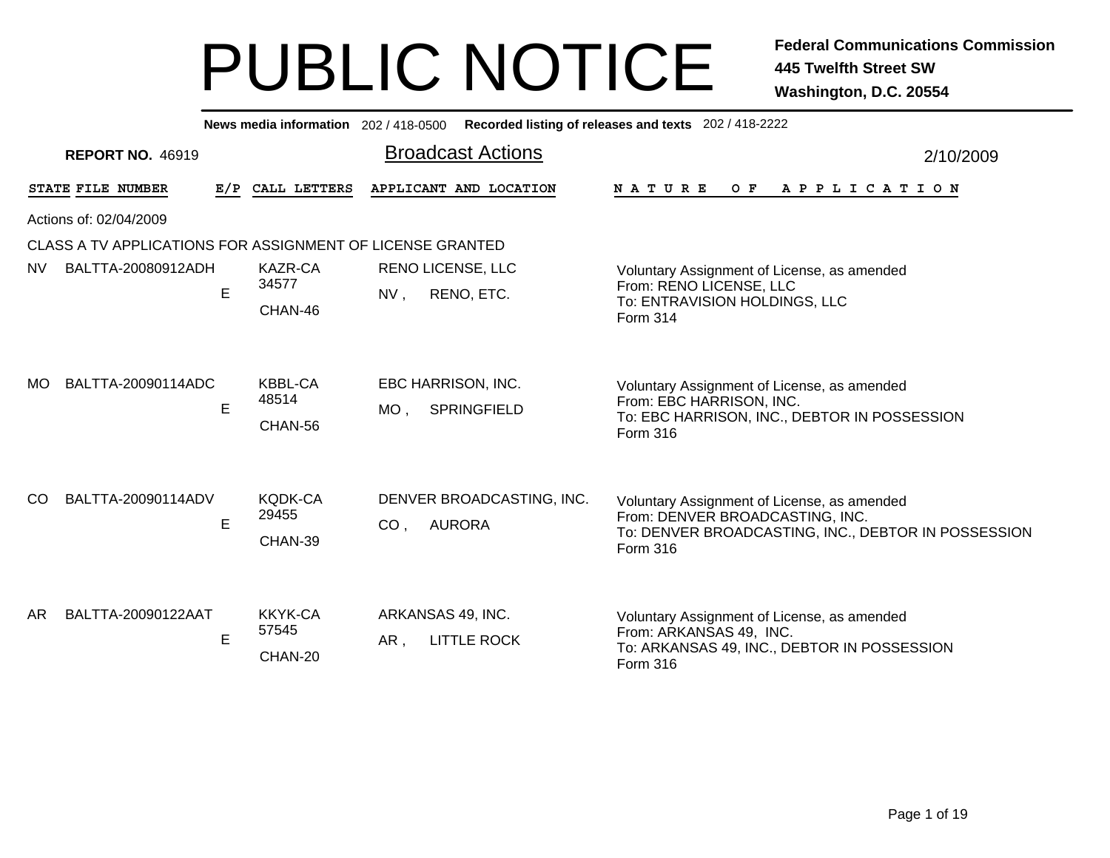|                        |                                                           |   | News media information 202 / 418-0500 |                 |                                          | Recorded listing of releases and texts 202 / 418-2222                                                                                             |           |  |  |  |
|------------------------|-----------------------------------------------------------|---|---------------------------------------|-----------------|------------------------------------------|---------------------------------------------------------------------------------------------------------------------------------------------------|-----------|--|--|--|
|                        | <b>REPORT NO. 46919</b>                                   |   |                                       |                 | <b>Broadcast Actions</b>                 |                                                                                                                                                   | 2/10/2009 |  |  |  |
|                        | STATE FILE NUMBER                                         |   | E/P CALL LETTERS                      |                 | APPLICANT AND LOCATION                   | <b>NATURE</b><br>O F<br>A P P L I C A T I O N                                                                                                     |           |  |  |  |
| Actions of: 02/04/2009 |                                                           |   |                                       |                 |                                          |                                                                                                                                                   |           |  |  |  |
|                        | CLASS A TV APPLICATIONS FOR ASSIGNMENT OF LICENSE GRANTED |   |                                       |                 |                                          |                                                                                                                                                   |           |  |  |  |
| <b>NV</b>              | BALTTA-20080912ADH                                        | E | <b>KAZR-CA</b><br>34577<br>CHAN-46    | NV,             | RENO LICENSE, LLC<br>RENO, ETC.          | Voluntary Assignment of License, as amended<br>From: RENO LICENSE, LLC<br>To: ENTRAVISION HOLDINGS, LLC<br>Form 314                               |           |  |  |  |
| MO.                    | BALTTA-20090114ADC                                        | E | <b>KBBL-CA</b><br>48514<br>CHAN-56    | $MO$ ,          | EBC HARRISON, INC.<br><b>SPRINGFIELD</b> | Voluntary Assignment of License, as amended<br>From: EBC HARRISON, INC.<br>To: EBC HARRISON, INC., DEBTOR IN POSSESSION<br>Form 316               |           |  |  |  |
| <sub>CO</sub>          | BALTTA-20090114ADV                                        | E | KQDK-CA<br>29455<br>CHAN-39           | CO <sub>1</sub> | DENVER BROADCASTING, INC.<br>AURORA      | Voluntary Assignment of License, as amended<br>From: DENVER BROADCASTING, INC.<br>To: DENVER BROADCASTING, INC., DEBTOR IN POSSESSION<br>Form 316 |           |  |  |  |
| AR                     | BALTTA-20090122AAT                                        | E | KKYK-CA<br>57545<br>CHAN-20           | AR,             | ARKANSAS 49, INC.<br><b>LITTLE ROCK</b>  | Voluntary Assignment of License, as amended<br>From: ARKANSAS 49, INC.<br>To: ARKANSAS 49, INC., DEBTOR IN POSSESSION<br>Form 316                 |           |  |  |  |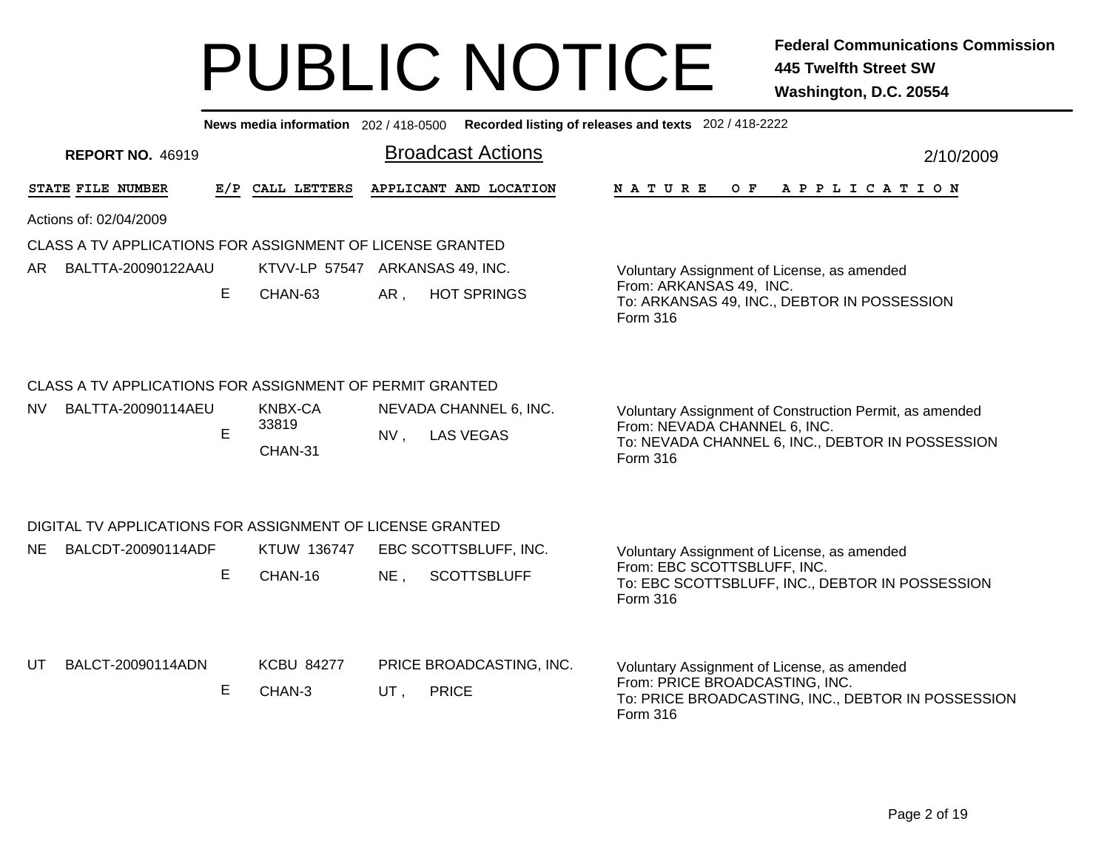|    |                        |                         |    | News media information 202 / 418-0500                     |     |                                            | Recorded listing of releases and texts 202 / 418-2222                                                                                                   |
|----|------------------------|-------------------------|----|-----------------------------------------------------------|-----|--------------------------------------------|---------------------------------------------------------------------------------------------------------------------------------------------------------|
|    |                        | <b>REPORT NO. 46919</b> |    |                                                           |     | <b>Broadcast Actions</b>                   | 2/10/2009                                                                                                                                               |
|    | STATE FILE NUMBER      |                         |    | E/P CALL LETTERS                                          |     | APPLICANT AND LOCATION                     | NATURE<br>OF APPLICATION                                                                                                                                |
|    | Actions of: 02/04/2009 |                         |    |                                                           |     |                                            |                                                                                                                                                         |
|    |                        |                         |    | CLASS A TV APPLICATIONS FOR ASSIGNMENT OF LICENSE GRANTED |     |                                            |                                                                                                                                                         |
| AR |                        | BALTTA-20090122AAU      |    | KTVV-LP 57547 ARKANSAS 49, INC.                           |     |                                            | Voluntary Assignment of License, as amended                                                                                                             |
|    |                        |                         | E. | CHAN-63                                                   | AR, | <b>HOT SPRINGS</b>                         | From: ARKANSAS 49, INC.<br>To: ARKANSAS 49, INC., DEBTOR IN POSSESSION<br>Form 316                                                                      |
|    |                        |                         |    | CLASS A TV APPLICATIONS FOR ASSIGNMENT OF PERMIT GRANTED  |     |                                            |                                                                                                                                                         |
| NV |                        | BALTTA-20090114AEU      | E. | KNBX-CA<br>33819<br>CHAN-31                               | NV, | NEVADA CHANNEL 6, INC.<br><b>LAS VEGAS</b> | Voluntary Assignment of Construction Permit, as amended<br>From: NEVADA CHANNEL 6, INC.<br>To: NEVADA CHANNEL 6, INC., DEBTOR IN POSSESSION<br>Form 316 |
|    |                        |                         |    | DIGITAL TV APPLICATIONS FOR ASSIGNMENT OF LICENSE GRANTED |     |                                            |                                                                                                                                                         |
| NE |                        | BALCDT-20090114ADF      |    | KTUW 136747                                               |     | EBC SCOTTSBLUFF, INC.                      | Voluntary Assignment of License, as amended                                                                                                             |
|    |                        |                         |    | CHAN-16                                                   | NE, | <b>SCOTTSBLUFF</b>                         | From: EBC SCOTTSBLUFF, INC.<br>To: EBC SCOTTSBLUFF, INC., DEBTOR IN POSSESSION<br>Form 316                                                              |
| UT |                        | BALCT-20090114ADN       |    | <b>KCBU 84277</b>                                         |     | PRICE BROADCASTING, INC.                   | Voluntary Assignment of License, as amended                                                                                                             |
|    |                        |                         | E  | CHAN-3                                                    | UT, | <b>PRICE</b>                               | From: PRICE BROADCASTING, INC.<br>To: PRICE BROADCASTING, INC., DEBTOR IN POSSESSION<br>Form 316                                                        |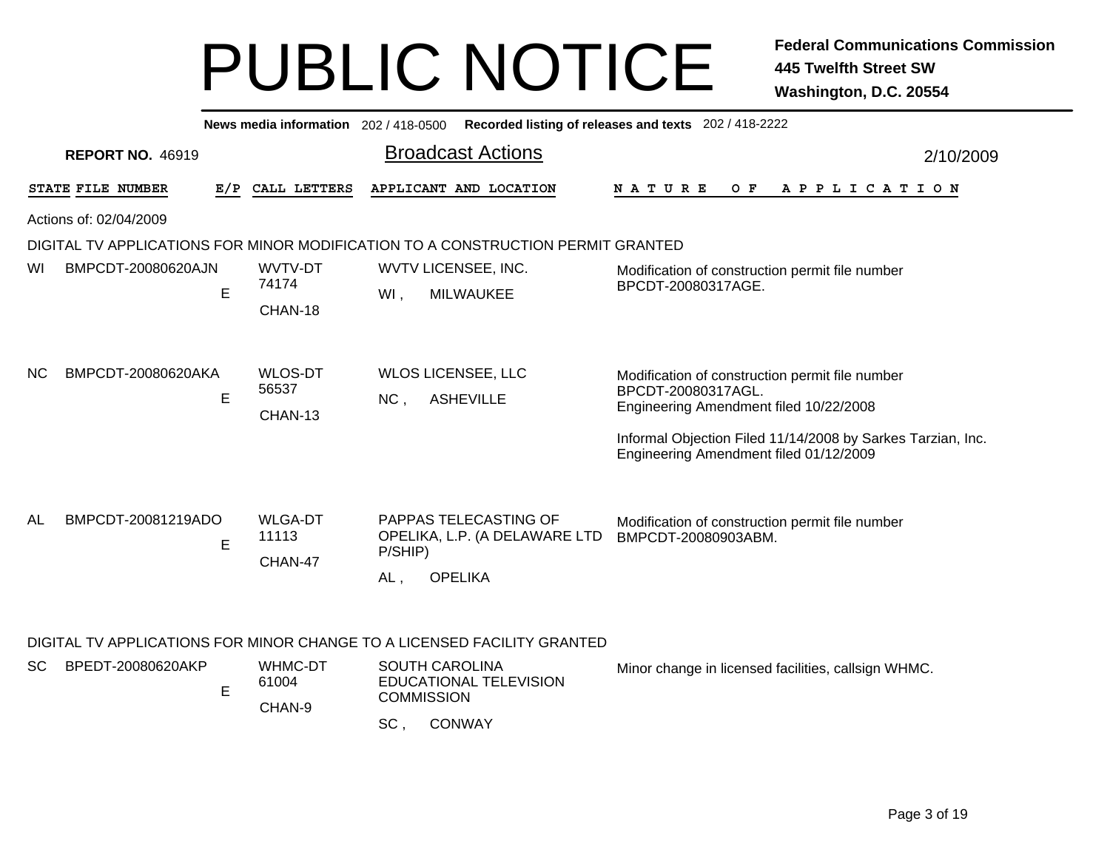|                                                                                 |     | News media information 202 / 418-0500 | Recorded listing of releases and texts 202 / 418-2222                                                                                                                   |                                                                                                                                                                                                                          |           |  |  |  |  |
|---------------------------------------------------------------------------------|-----|---------------------------------------|-------------------------------------------------------------------------------------------------------------------------------------------------------------------------|--------------------------------------------------------------------------------------------------------------------------------------------------------------------------------------------------------------------------|-----------|--|--|--|--|
| <b>REPORT NO. 46919</b>                                                         |     |                                       | <b>Broadcast Actions</b>                                                                                                                                                |                                                                                                                                                                                                                          | 2/10/2009 |  |  |  |  |
| STATE FILE NUMBER                                                               | E/P | CALL LETTERS                          | APPLICANT AND LOCATION                                                                                                                                                  | O F<br>A P P L I C A T I O N<br>N A T U R E                                                                                                                                                                              |           |  |  |  |  |
| Actions of: 02/04/2009                                                          |     |                                       |                                                                                                                                                                         |                                                                                                                                                                                                                          |           |  |  |  |  |
| DIGITAL TV APPLICATIONS FOR MINOR MODIFICATION TO A CONSTRUCTION PERMIT GRANTED |     |                                       |                                                                                                                                                                         |                                                                                                                                                                                                                          |           |  |  |  |  |
| BMPCDT-20080620AJN<br>wı                                                        | E   | WVTV-DT<br>74174<br>CHAN-18           | WVTV LICENSEE, INC.<br><b>MILWAUKEE</b><br>WI,                                                                                                                          | Modification of construction permit file number<br>BPCDT-20080317AGE.                                                                                                                                                    |           |  |  |  |  |
| BMPCDT-20080620AKA<br>NС                                                        | E   | <b>WLOS-DT</b><br>56537<br>CHAN-13    | <b>WLOS LICENSEE, LLC</b><br><b>ASHEVILLE</b><br>NC,                                                                                                                    | Modification of construction permit file number<br>BPCDT-20080317AGL.<br>Engineering Amendment filed 10/22/2008<br>Informal Objection Filed 11/14/2008 by Sarkes Tarzian, Inc.<br>Engineering Amendment filed 01/12/2009 |           |  |  |  |  |
| BMPCDT-20081219ADO<br>AL                                                        | E   | <b>WLGA-DT</b><br>11113<br>CHAN-47    | PAPPAS TELECASTING OF<br>OPELIKA, L.P. (A DELAWARE LTD<br>P/SHIP)<br><b>OPELIKA</b><br>AL,                                                                              | Modification of construction permit file number<br>BMPCDT-20080903ABM.                                                                                                                                                   |           |  |  |  |  |
| BPEDT-20080620AKP<br>SC.                                                        | E   | WHMC-DT<br>61004<br>CHAN-9            | DIGITAL TV APPLICATIONS FOR MINOR CHANGE TO A LICENSED FACILITY GRANTED<br><b>SOUTH CAROLINA</b><br>EDUCATIONAL TELEVISION<br><b>COMMISSION</b><br>SC,<br><b>CONWAY</b> | Minor change in licensed facilities, callsign WHMC.                                                                                                                                                                      |           |  |  |  |  |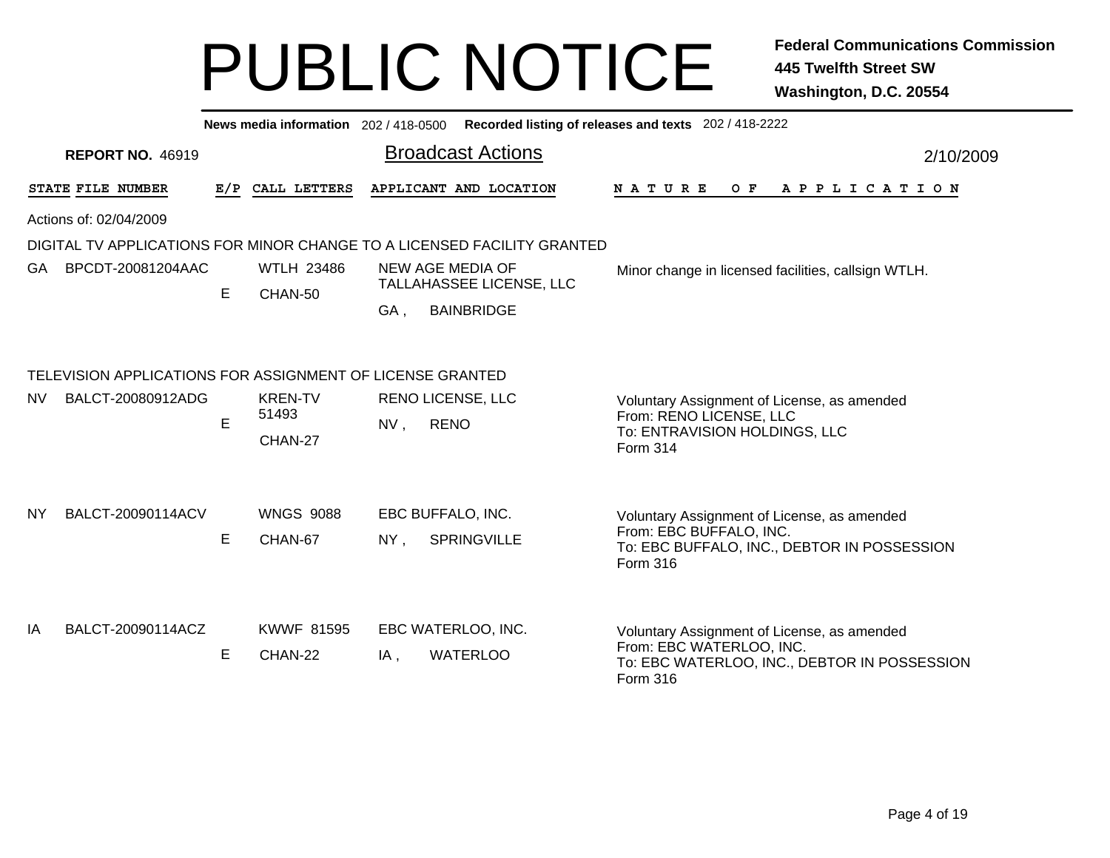|     |                                                           |    | News media information 202/418-0500 |        |                                                                         | Recorded listing of releases and texts 202 / 418-2222                   |  |  |  |  |  |
|-----|-----------------------------------------------------------|----|-------------------------------------|--------|-------------------------------------------------------------------------|-------------------------------------------------------------------------|--|--|--|--|--|
|     | <b>REPORT NO. 46919</b>                                   |    |                                     |        | <b>Broadcast Actions</b>                                                | 2/10/2009                                                               |  |  |  |  |  |
|     | STATE FILE NUMBER                                         |    | E/P CALL LETTERS                    |        | APPLICANT AND LOCATION                                                  | <b>NATURE</b><br>O F<br>A P P L I C A T I O N                           |  |  |  |  |  |
|     | Actions of: 02/04/2009                                    |    |                                     |        |                                                                         |                                                                         |  |  |  |  |  |
|     |                                                           |    |                                     |        | DIGITAL TV APPLICATIONS FOR MINOR CHANGE TO A LICENSED FACILITY GRANTED |                                                                         |  |  |  |  |  |
| GA. | BPCDT-20081204AAC                                         | E. | <b>WTLH 23486</b><br>CHAN-50        |        | NEW AGE MEDIA OF<br>TALLAHASSEE LICENSE, LLC                            | Minor change in licensed facilities, callsign WTLH.                     |  |  |  |  |  |
|     |                                                           |    |                                     | GA,    | <b>BAINBRIDGE</b>                                                       |                                                                         |  |  |  |  |  |
|     | TELEVISION APPLICATIONS FOR ASSIGNMENT OF LICENSE GRANTED |    |                                     |        |                                                                         |                                                                         |  |  |  |  |  |
| NV. | BALCT-20080912ADG                                         | E  | <b>KREN-TV</b><br>51493             | NV,    | <b>RENO LICENSE, LLC</b><br><b>RENO</b>                                 | Voluntary Assignment of License, as amended<br>From: RENO LICENSE, LLC  |  |  |  |  |  |
|     |                                                           |    | CHAN-27                             |        |                                                                         | To: ENTRAVISION HOLDINGS, LLC<br>Form 314                               |  |  |  |  |  |
|     |                                                           |    |                                     |        |                                                                         |                                                                         |  |  |  |  |  |
| NY. | BALCT-20090114ACV                                         |    | <b>WNGS 9088</b>                    |        | EBC BUFFALO, INC.                                                       | Voluntary Assignment of License, as amended<br>From: EBC BUFFALO, INC.  |  |  |  |  |  |
|     |                                                           | E  | CHAN-67                             | $NY$ , | SPRINGVILLE                                                             | To: EBC BUFFALO, INC., DEBTOR IN POSSESSION<br>Form 316                 |  |  |  |  |  |
| IA  | BALCT-20090114ACZ                                         |    | <b>KWWF 81595</b>                   |        | EBC WATERLOO, INC.                                                      |                                                                         |  |  |  |  |  |
|     |                                                           |    |                                     |        |                                                                         | Voluntary Assignment of License, as amended<br>From: EBC WATERLOO, INC. |  |  |  |  |  |
|     |                                                           | E  | CHAN-22                             | IA,    | <b>WATERLOO</b>                                                         | To: EBC WATERLOO, INC., DEBTOR IN POSSESSION<br><b>Form 316</b>         |  |  |  |  |  |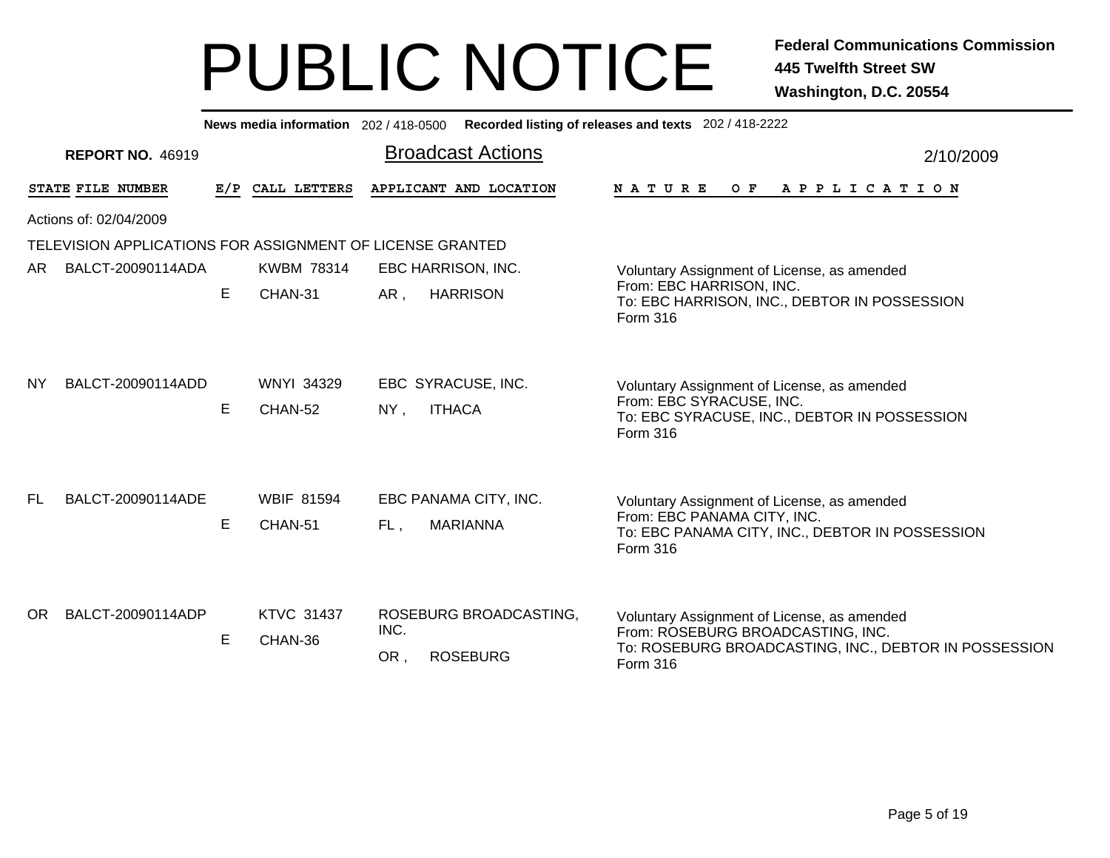|                                                           | Recorded listing of releases and texts 202 / 418-2222<br>News media information 202/418-0500 |                              |                                                          |                                                                                                                                                       |  |  |  |  |  |  |
|-----------------------------------------------------------|----------------------------------------------------------------------------------------------|------------------------------|----------------------------------------------------------|-------------------------------------------------------------------------------------------------------------------------------------------------------|--|--|--|--|--|--|
| <b>REPORT NO. 46919</b>                                   |                                                                                              |                              | <b>Broadcast Actions</b>                                 | 2/10/2009                                                                                                                                             |  |  |  |  |  |  |
| STATE FILE NUMBER                                         |                                                                                              | E/P CALL LETTERS             | APPLICANT AND LOCATION                                   | <b>NATURE</b><br>O F<br>A P P L I C A T I O N                                                                                                         |  |  |  |  |  |  |
| Actions of: 02/04/2009                                    |                                                                                              |                              |                                                          |                                                                                                                                                       |  |  |  |  |  |  |
| TELEVISION APPLICATIONS FOR ASSIGNMENT OF LICENSE GRANTED |                                                                                              |                              |                                                          |                                                                                                                                                       |  |  |  |  |  |  |
| BALCT-20090114ADA<br>AR.                                  |                                                                                              | <b>KWBM 78314</b>            | EBC HARRISON, INC.                                       | Voluntary Assignment of License, as amended                                                                                                           |  |  |  |  |  |  |
|                                                           | E.                                                                                           | CHAN-31                      | <b>HARRISON</b><br>AR,                                   | From: EBC HARRISON, INC.<br>To: EBC HARRISON, INC., DEBTOR IN POSSESSION<br>Form 316                                                                  |  |  |  |  |  |  |
| BALCT-20090114ADD<br><b>NY</b>                            | Е                                                                                            | <b>WNYI 34329</b><br>CHAN-52 | EBC SYRACUSE, INC.<br><b>ITHACA</b><br>$NY$ ,            | Voluntary Assignment of License, as amended<br>From: EBC SYRACUSE, INC.<br>To: EBC SYRACUSE, INC., DEBTOR IN POSSESSION<br>Form 316                   |  |  |  |  |  |  |
| BALCT-20090114ADE<br>FL.                                  | Е                                                                                            | <b>WBIF 81594</b><br>CHAN-51 | EBC PANAMA CITY, INC.<br><b>MARIANNA</b><br>FL,          | Voluntary Assignment of License, as amended<br>From: EBC PANAMA CITY, INC.<br>To: EBC PANAMA CITY, INC., DEBTOR IN POSSESSION<br>Form 316             |  |  |  |  |  |  |
| BALCT-20090114ADP<br>OR.                                  | Е                                                                                            | <b>KTVC 31437</b><br>CHAN-36 | ROSEBURG BROADCASTING,<br>INC.<br><b>ROSEBURG</b><br>OR, | Voluntary Assignment of License, as amended<br>From: ROSEBURG BROADCASTING, INC.<br>To: ROSEBURG BROADCASTING, INC., DEBTOR IN POSSESSION<br>Form 316 |  |  |  |  |  |  |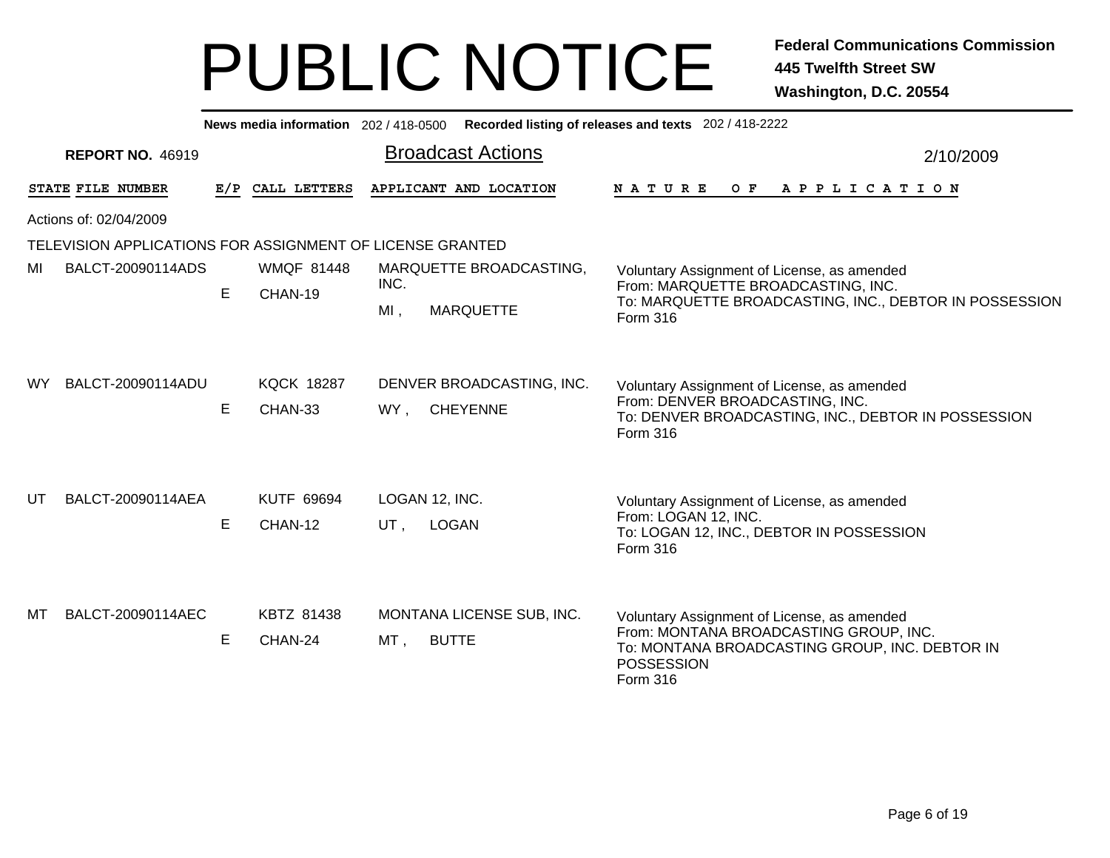|     | News media information 202 / 418-0500 Recorded listing of releases and texts 202 / 418-2222 |    |                              |                                                     |                                                                                                                                                                   |  |  |  |  |  |  |
|-----|---------------------------------------------------------------------------------------------|----|------------------------------|-----------------------------------------------------|-------------------------------------------------------------------------------------------------------------------------------------------------------------------|--|--|--|--|--|--|
|     | <b>REPORT NO. 46919</b>                                                                     |    |                              | <b>Broadcast Actions</b>                            | 2/10/2009                                                                                                                                                         |  |  |  |  |  |  |
|     | STATE FILE NUMBER                                                                           |    | E/P CALL LETTERS             | APPLICANT AND LOCATION                              | <b>NATURE</b><br>OF APPLICATION                                                                                                                                   |  |  |  |  |  |  |
|     | Actions of: 02/04/2009                                                                      |    |                              |                                                     |                                                                                                                                                                   |  |  |  |  |  |  |
|     | TELEVISION APPLICATIONS FOR ASSIGNMENT OF LICENSE GRANTED                                   |    |                              |                                                     |                                                                                                                                                                   |  |  |  |  |  |  |
| MI  | BALCT-20090114ADS                                                                           | E. | <b>WMQF 81448</b>            | MARQUETTE BROADCASTING,<br>INC.                     | Voluntary Assignment of License, as amended<br>From: MARQUETTE BROADCASTING, INC.                                                                                 |  |  |  |  |  |  |
|     |                                                                                             |    | CHAN-19                      | $MI$ ,<br><b>MARQUETTE</b>                          | To: MARQUETTE BROADCASTING, INC., DEBTOR IN POSSESSION<br>Form 316                                                                                                |  |  |  |  |  |  |
| WY. | BALCT-20090114ADU                                                                           | E  | <b>KQCK 18287</b><br>CHAN-33 | DENVER BROADCASTING, INC.<br><b>CHEYENNE</b><br>WY, | Voluntary Assignment of License, as amended<br>From: DENVER BROADCASTING, INC.<br>To: DENVER BROADCASTING, INC., DEBTOR IN POSSESSION<br>Form 316                 |  |  |  |  |  |  |
| UT  | BALCT-20090114AEA                                                                           | E  | <b>KUTF 69694</b><br>CHAN-12 | LOGAN 12, INC.<br><b>LOGAN</b><br>UT,               | Voluntary Assignment of License, as amended<br>From: LOGAN 12, INC.<br>To: LOGAN 12, INC., DEBTOR IN POSSESSION<br>Form 316                                       |  |  |  |  |  |  |
| МT  | BALCT-20090114AEC                                                                           | E  | KBTZ 81438<br>CHAN-24        | MONTANA LICENSE SUB, INC.<br><b>BUTTE</b><br>MT,    | Voluntary Assignment of License, as amended<br>From: MONTANA BROADCASTING GROUP, INC.<br>To: MONTANA BROADCASTING GROUP, INC. DEBTOR IN<br>POSSESSION<br>Form 316 |  |  |  |  |  |  |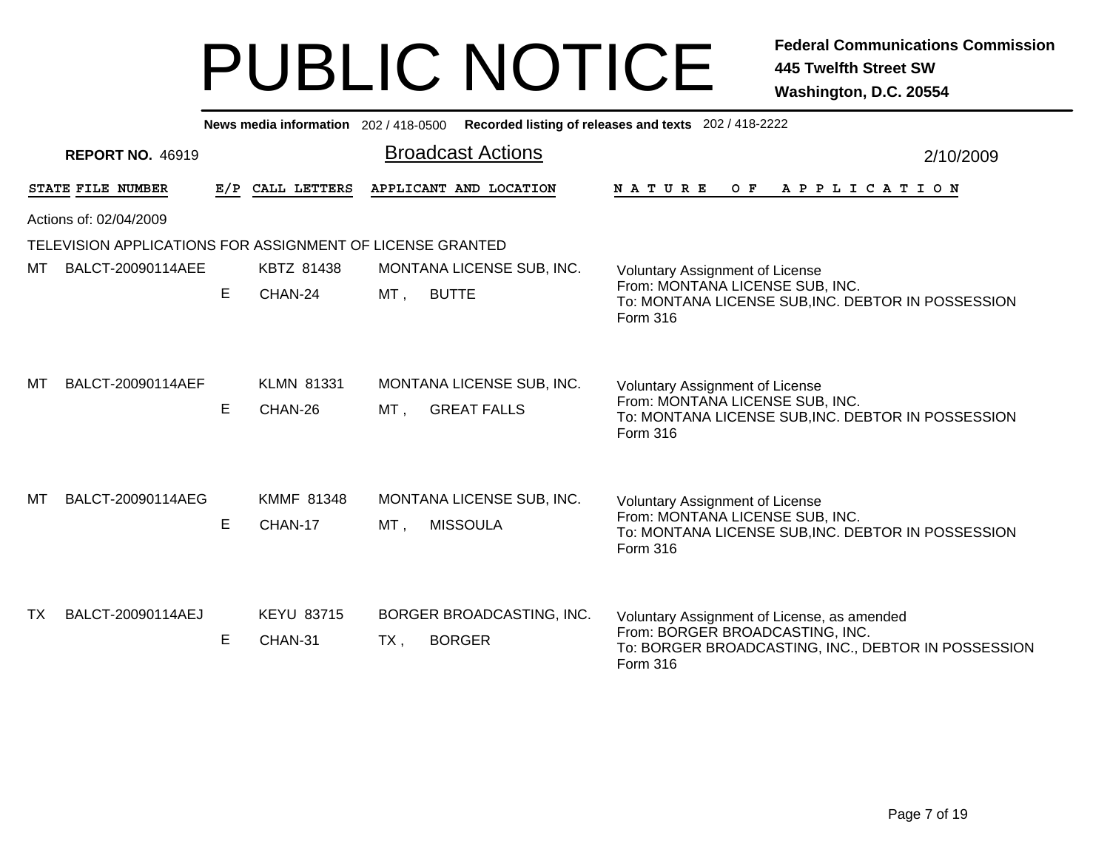| News media information 202/418-0500 Recorded listing of releases and texts 202/418-2222 |                                                           |     |                              |                                                           |                                                                                                                                                   |  |  |  |  |  |  |
|-----------------------------------------------------------------------------------------|-----------------------------------------------------------|-----|------------------------------|-----------------------------------------------------------|---------------------------------------------------------------------------------------------------------------------------------------------------|--|--|--|--|--|--|
|                                                                                         | <b>REPORT NO. 46919</b>                                   |     |                              | <b>Broadcast Actions</b>                                  | 2/10/2009                                                                                                                                         |  |  |  |  |  |  |
|                                                                                         | STATE FILE NUMBER                                         | E/P | CALL LETTERS                 | APPLICANT AND LOCATION                                    | N A T U R E<br>O F<br>A P P L I C A T I O N                                                                                                       |  |  |  |  |  |  |
|                                                                                         | Actions of: 02/04/2009                                    |     |                              |                                                           |                                                                                                                                                   |  |  |  |  |  |  |
|                                                                                         | TELEVISION APPLICATIONS FOR ASSIGNMENT OF LICENSE GRANTED |     |                              |                                                           |                                                                                                                                                   |  |  |  |  |  |  |
| мт                                                                                      | BALCT-20090114AEE                                         |     | KBTZ 81438                   | MONTANA LICENSE SUB, INC.                                 | <b>Voluntary Assignment of License</b>                                                                                                            |  |  |  |  |  |  |
|                                                                                         |                                                           | E.  | CHAN-24                      | MT,<br><b>BUTTE</b>                                       | From: MONTANA LICENSE SUB, INC.<br>To: MONTANA LICENSE SUB, INC. DEBTOR IN POSSESSION<br>Form 316                                                 |  |  |  |  |  |  |
| МT                                                                                      | BALCT-20090114AEF                                         | Е   | <b>KLMN 81331</b><br>CHAN-26 | MONTANA LICENSE SUB, INC.<br>$MT$ ,<br><b>GREAT FALLS</b> | <b>Voluntary Assignment of License</b><br>From: MONTANA LICENSE SUB, INC.<br>To: MONTANA LICENSE SUB, INC. DEBTOR IN POSSESSION<br>Form 316       |  |  |  |  |  |  |
| МT                                                                                      | BALCT-20090114AEG                                         | E   | <b>KMMF 81348</b><br>CHAN-17 | MONTANA LICENSE SUB, INC.<br><b>MISSOULA</b><br>$MT$ ,    | <b>Voluntary Assignment of License</b><br>From: MONTANA LICENSE SUB, INC.<br>To: MONTANA LICENSE SUB, INC. DEBTOR IN POSSESSION<br>Form 316       |  |  |  |  |  |  |
| TX.                                                                                     | BALCT-20090114AEJ                                         | Е   | <b>KEYU 83715</b><br>CHAN-31 | BORGER BROADCASTING, INC.<br><b>BORGER</b><br>TX,         | Voluntary Assignment of License, as amended<br>From: BORGER BROADCASTING, INC.<br>To: BORGER BROADCASTING, INC., DEBTOR IN POSSESSION<br>Form 316 |  |  |  |  |  |  |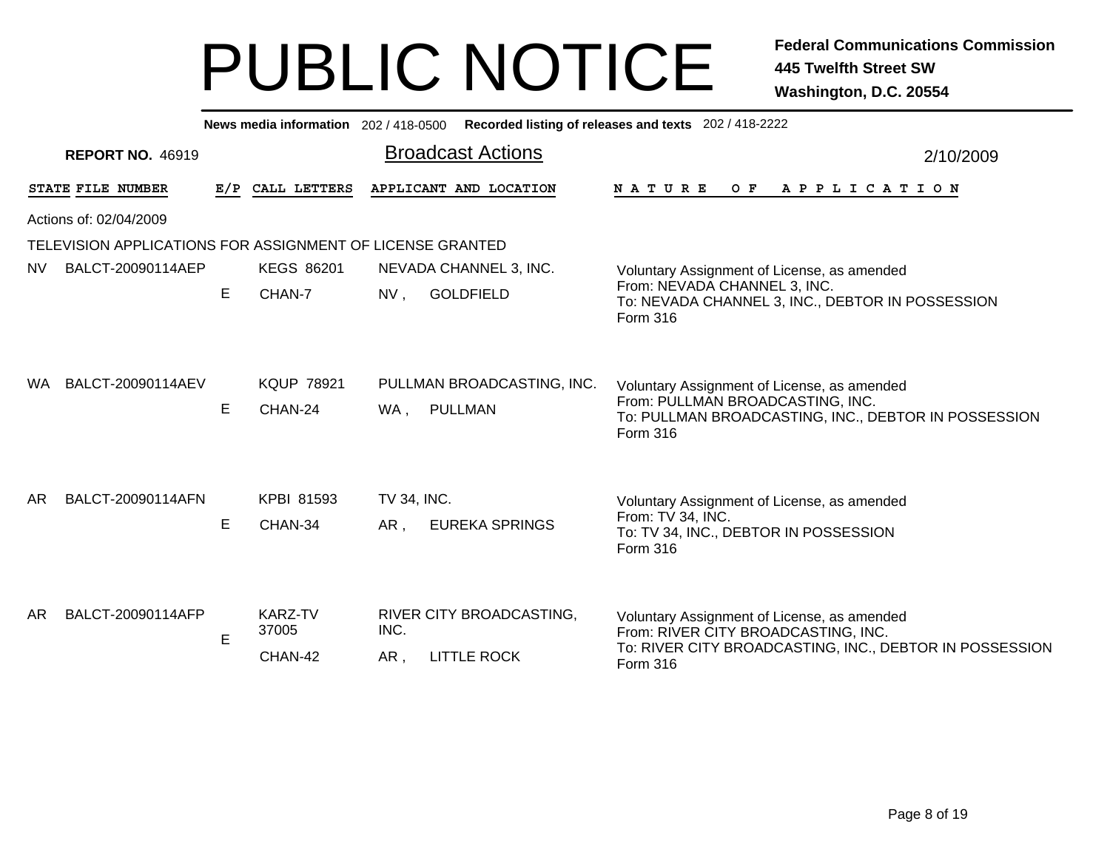|           | News media information 202 / 418-0500 Recorded listing of releases and texts 202 / 418-2222 |    |                                    |                                                                           |                                                                                                                                               |  |  |  |  |
|-----------|---------------------------------------------------------------------------------------------|----|------------------------------------|---------------------------------------------------------------------------|-----------------------------------------------------------------------------------------------------------------------------------------------|--|--|--|--|
|           | <b>REPORT NO. 46919</b>                                                                     |    |                                    | <b>Broadcast Actions</b>                                                  | 2/10/2009                                                                                                                                     |  |  |  |  |
|           | STATE FILE NUMBER                                                                           |    | E/P CALL LETTERS                   | APPLICANT AND LOCATION                                                    | O F<br>A P P L I C A T I O N<br>N A T U R E                                                                                                   |  |  |  |  |
|           | Actions of: 02/04/2009                                                                      |    |                                    |                                                                           |                                                                                                                                               |  |  |  |  |
|           | TELEVISION APPLICATIONS FOR ASSIGNMENT OF LICENSE GRANTED                                   |    |                                    |                                                                           |                                                                                                                                               |  |  |  |  |
| <b>NV</b> | BALCT-20090114AEP                                                                           |    | <b>KEGS 86201</b>                  | NEVADA CHANNEL 3, INC.                                                    | Voluntary Assignment of License, as amended                                                                                                   |  |  |  |  |
|           |                                                                                             | E. | CHAN-7                             | <b>GOLDFIELD</b><br>$NV$ ,<br>Form 316                                    | From: NEVADA CHANNEL 3, INC.<br>To: NEVADA CHANNEL 3, INC., DEBTOR IN POSSESSION                                                              |  |  |  |  |
| WA.       | BALCT-20090114AEV                                                                           | E  | <b>KQUP 78921</b><br>CHAN-24       | PULLMAN BROADCASTING, INC.<br>PULLMAN<br>WA,<br>Form 316                  | Voluntary Assignment of License, as amended<br>From: PULLMAN BROADCASTING, INC.<br>To: PULLMAN BROADCASTING, INC., DEBTOR IN POSSESSION       |  |  |  |  |
| AR.       | BALCT-20090114AFN                                                                           | E  | <b>KPBI 81593</b><br>CHAN-34       | TV 34, INC.<br><b>EUREKA SPRINGS</b><br>AR,<br>Form 316                   | Voluntary Assignment of License, as amended<br>From: TV 34, INC.<br>To: TV 34, INC., DEBTOR IN POSSESSION                                     |  |  |  |  |
| AR.       | BALCT-20090114AFP                                                                           | E  | <b>KARZ-TV</b><br>37005<br>CHAN-42 | RIVER CITY BROADCASTING,<br>INC.<br><b>LITTLE ROCK</b><br>AR,<br>Form 316 | Voluntary Assignment of License, as amended<br>From: RIVER CITY BROADCASTING, INC.<br>To: RIVER CITY BROADCASTING, INC., DEBTOR IN POSSESSION |  |  |  |  |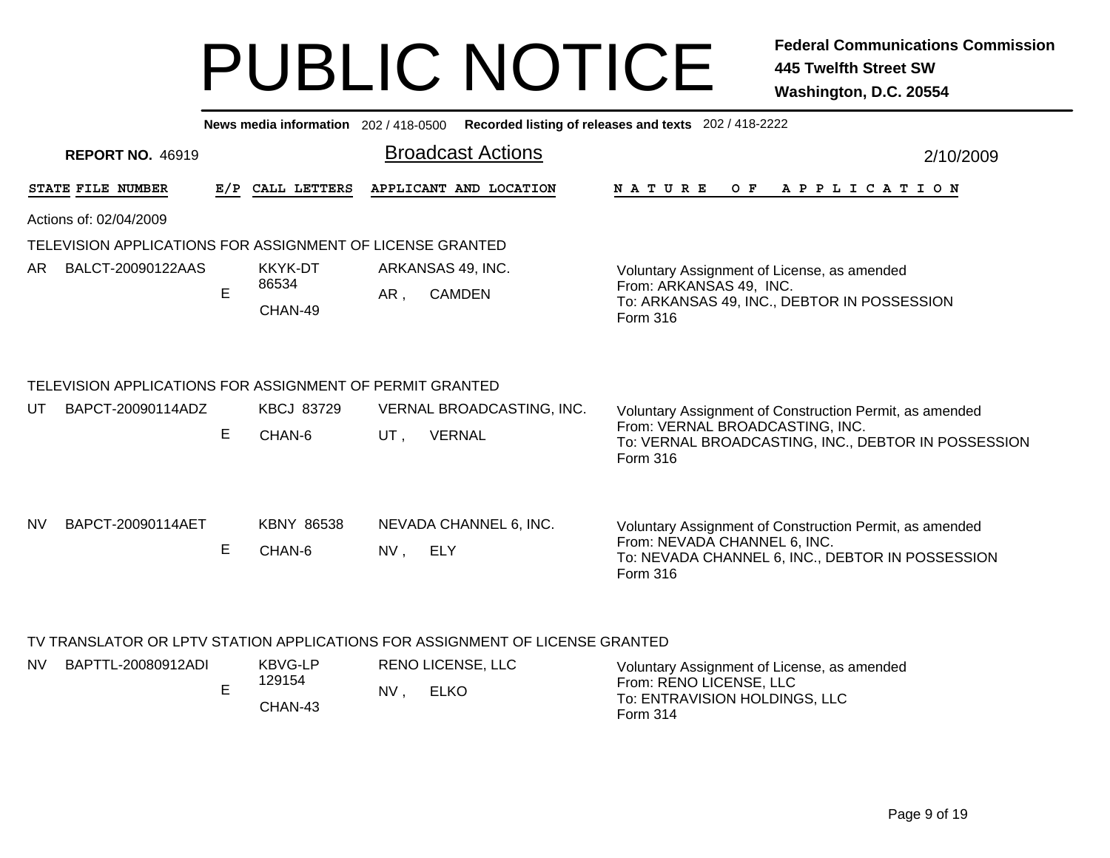, ELKO

|           | Recorded listing of releases and texts 202 / 418-2222<br>News media information 202 / 418-0500 |    |                          |                           |                                                                              |                                                                                         |  |  |  |
|-----------|------------------------------------------------------------------------------------------------|----|--------------------------|---------------------------|------------------------------------------------------------------------------|-----------------------------------------------------------------------------------------|--|--|--|
|           | <b>REPORT NO. 46919</b>                                                                        |    |                          |                           | <b>Broadcast Actions</b>                                                     | 2/10/2009                                                                               |  |  |  |
|           | STATE FILE NUMBER                                                                              |    | E/P CALL LETTERS         |                           | APPLICANT AND LOCATION                                                       | N A T U R E<br>OF APPLICATION                                                           |  |  |  |
|           | Actions of: 02/04/2009                                                                         |    |                          |                           |                                                                              |                                                                                         |  |  |  |
|           | TELEVISION APPLICATIONS FOR ASSIGNMENT OF LICENSE GRANTED                                      |    |                          |                           |                                                                              |                                                                                         |  |  |  |
| AR.       | BALCT-20090122AAS                                                                              |    | KKYK-DT                  |                           | ARKANSAS 49, INC.                                                            | Voluntary Assignment of License, as amended                                             |  |  |  |
|           |                                                                                                | E  | 86534                    | AR,                       | <b>CAMDEN</b>                                                                | From: ARKANSAS 49, INC.                                                                 |  |  |  |
|           |                                                                                                |    | CHAN-49                  |                           |                                                                              | To: ARKANSAS 49, INC., DEBTOR IN POSSESSION<br>Form 316                                 |  |  |  |
|           |                                                                                                |    |                          |                           |                                                                              |                                                                                         |  |  |  |
|           | TELEVISION APPLICATIONS FOR ASSIGNMENT OF PERMIT GRANTED                                       |    |                          |                           |                                                                              |                                                                                         |  |  |  |
| UT        | BAPCT-20090114ADZ                                                                              |    | <b>KBCJ 83729</b>        | VERNAL BROADCASTING, INC. |                                                                              | Voluntary Assignment of Construction Permit, as amended                                 |  |  |  |
|           |                                                                                                | E  | CHAN-6                   | UT,                       | <b>VERNAL</b>                                                                | From: VERNAL BROADCASTING, INC.                                                         |  |  |  |
|           |                                                                                                |    |                          |                           |                                                                              | To: VERNAL BROADCASTING, INC., DEBTOR IN POSSESSION<br>Form 316                         |  |  |  |
|           |                                                                                                |    |                          |                           |                                                                              |                                                                                         |  |  |  |
|           |                                                                                                |    |                          |                           |                                                                              |                                                                                         |  |  |  |
| <b>NV</b> | BAPCT-20090114AET                                                                              |    | <b>KBNY 86538</b>        |                           | NEVADA CHANNEL 6, INC.                                                       | Voluntary Assignment of Construction Permit, as amended<br>From: NEVADA CHANNEL 6, INC. |  |  |  |
|           |                                                                                                | E. | CHAN-6                   | NV, ELY                   |                                                                              | To: NEVADA CHANNEL 6, INC., DEBTOR IN POSSESSION                                        |  |  |  |
|           |                                                                                                |    |                          |                           |                                                                              | Form 316                                                                                |  |  |  |
|           |                                                                                                |    |                          |                           |                                                                              |                                                                                         |  |  |  |
|           |                                                                                                |    |                          |                           | TV TRANSLATOR OR LPTV STATION APPLICATIONS FOR ASSIGNMENT OF LICENSE GRANTED |                                                                                         |  |  |  |
| NV.       | BAPTTL-20080912ADI                                                                             |    | <b>KBVG-LP</b><br>129154 |                           | <b>RENO LICENSE, LLC</b>                                                     | Voluntary Assignment of License, as amended<br>From: REND HCFNSF HIC                    |  |  |  |

CHAN-43 NV

E

From: RENO LICENSE, LLC To: ENTRAVISION HOLDINGS, LLC Form 314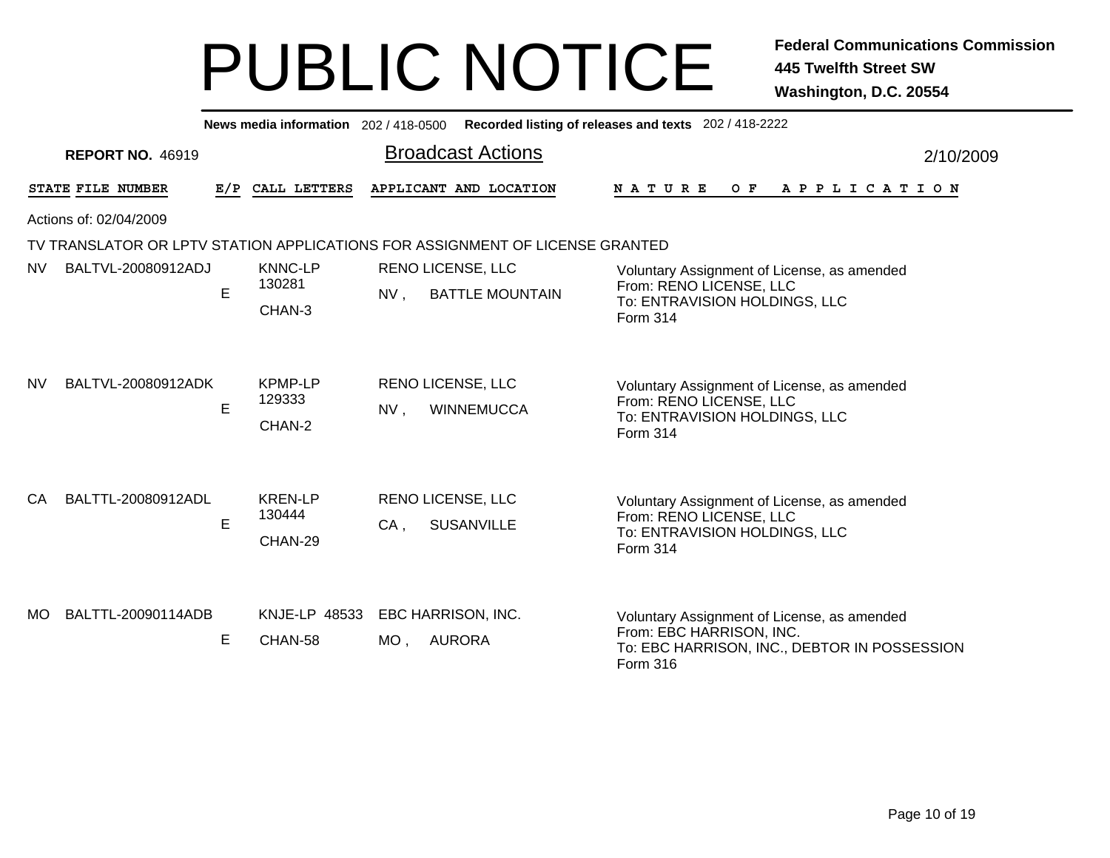|           |                         |     | News media information 202/418-0500 |        |                                                                              | Recorded listing of releases and texts 202 / 418-2222                                                                               |           |  |  |
|-----------|-------------------------|-----|-------------------------------------|--------|------------------------------------------------------------------------------|-------------------------------------------------------------------------------------------------------------------------------------|-----------|--|--|
|           | <b>REPORT NO. 46919</b> |     |                                     |        | <b>Broadcast Actions</b>                                                     |                                                                                                                                     | 2/10/2009 |  |  |
|           | STATE FILE NUMBER       | E/P | CALL LETTERS                        |        | APPLICANT AND LOCATION                                                       | O F<br>N A T U R E<br>A P P L I C A T I O N                                                                                         |           |  |  |
|           | Actions of: 02/04/2009  |     |                                     |        |                                                                              |                                                                                                                                     |           |  |  |
|           |                         |     |                                     |        | TV TRANSLATOR OR LPTV STATION APPLICATIONS FOR ASSIGNMENT OF LICENSE GRANTED |                                                                                                                                     |           |  |  |
| <b>NV</b> | BALTVL-20080912ADJ      | E   | <b>KNNC-LP</b><br>130281<br>CHAN-3  | NV,    | <b>RENO LICENSE, LLC</b><br><b>BATTLE MOUNTAIN</b>                           | Voluntary Assignment of License, as amended<br>From: RENO LICENSE, LLC<br>To: ENTRAVISION HOLDINGS, LLC<br>Form 314                 |           |  |  |
| NV.       | BALTVL-20080912ADK      | E   | <b>KPMP-LP</b><br>129333<br>CHAN-2  | NV,    | <b>RENO LICENSE, LLC</b><br><b>WINNEMUCCA</b>                                | Voluntary Assignment of License, as amended<br>From: RENO LICENSE, LLC<br>To: ENTRAVISION HOLDINGS, LLC<br>Form 314                 |           |  |  |
| CA.       | BALTTL-20080912ADL      | E   | <b>KREN-LP</b><br>130444<br>CHAN-29 | $CA$ , | <b>RENO LICENSE, LLC</b><br><b>SUSANVILLE</b>                                | Voluntary Assignment of License, as amended<br>From: RENO LICENSE, LLC<br>To: ENTRAVISION HOLDINGS, LLC<br>Form 314                 |           |  |  |
| MO        | BALTTL-20090114ADB      | E   | KNJE-LP 48533<br>CHAN-58            | $MO$ , | EBC HARRISON, INC.<br>AURORA                                                 | Voluntary Assignment of License, as amended<br>From: EBC HARRISON, INC.<br>To: EBC HARRISON, INC., DEBTOR IN POSSESSION<br>Form 316 |           |  |  |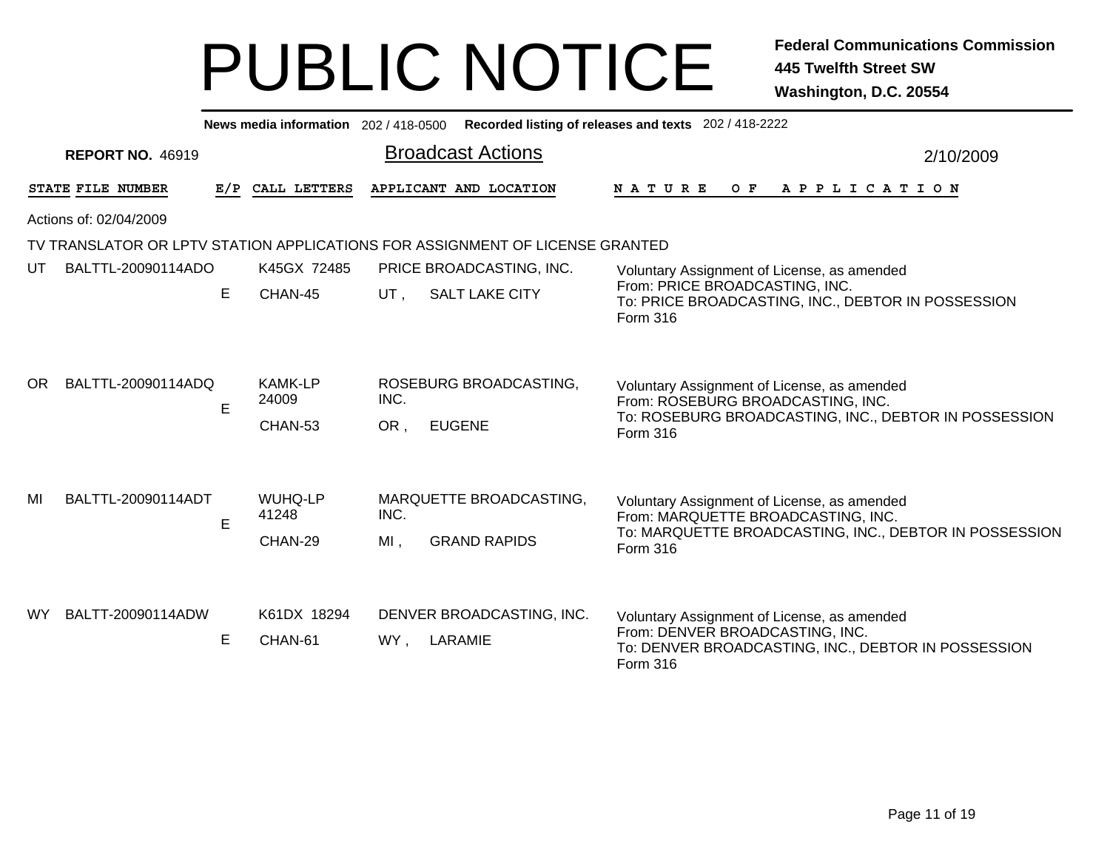|           |                         |     | News media information 202/418-0500 |                |                                                                              | Recorded listing of releases and texts 202 / 418-2222                                                                                                   |           |  |  |
|-----------|-------------------------|-----|-------------------------------------|----------------|------------------------------------------------------------------------------|---------------------------------------------------------------------------------------------------------------------------------------------------------|-----------|--|--|
|           | <b>REPORT NO. 46919</b> |     |                                     |                | <b>Broadcast Actions</b>                                                     |                                                                                                                                                         | 2/10/2009 |  |  |
|           | STATE FILE NUMBER       | E/P | CALL LETTERS                        |                | APPLICANT AND LOCATION                                                       | N A T U R E<br>O F<br>A P P L I C A T I O N                                                                                                             |           |  |  |
|           | Actions of: 02/04/2009  |     |                                     |                |                                                                              |                                                                                                                                                         |           |  |  |
|           |                         |     |                                     |                | TV TRANSLATOR OR LPTV STATION APPLICATIONS FOR ASSIGNMENT OF LICENSE GRANTED |                                                                                                                                                         |           |  |  |
| UT.       | BALTTL-20090114ADO      | E   | K45GX 72485<br>CHAN-45              | UT.            | PRICE BROADCASTING, INC.<br><b>SALT LAKE CITY</b>                            | Voluntary Assignment of License, as amended<br>From: PRICE BROADCASTING, INC.<br>To: PRICE BROADCASTING, INC., DEBTOR IN POSSESSION<br>Form 316         |           |  |  |
| OR.       | BALTTL-20090114ADQ      | E   | <b>KAMK-LP</b><br>24009<br>CHAN-53  | INC.<br>OR,    | ROSEBURG BROADCASTING,<br><b>EUGENE</b>                                      | Voluntary Assignment of License, as amended<br>From: ROSEBURG BROADCASTING, INC.<br>To: ROSEBURG BROADCASTING, INC., DEBTOR IN POSSESSION<br>Form 316   |           |  |  |
| MI        | BALTTL-20090114ADT      | E   | <b>WUHQ-LP</b><br>41248<br>CHAN-29  | INC.<br>$MI$ . | MARQUETTE BROADCASTING,<br><b>GRAND RAPIDS</b>                               | Voluntary Assignment of License, as amended<br>From: MARQUETTE BROADCASTING, INC.<br>To: MARQUETTE BROADCASTING, INC., DEBTOR IN POSSESSION<br>Form 316 |           |  |  |
| <b>WY</b> | BALTT-20090114ADW       | Е   | K61DX 18294<br>CHAN-61              | WY,            | DENVER BROADCASTING, INC.<br>LARAMIE                                         | Voluntary Assignment of License, as amended<br>From: DENVER BROADCASTING, INC.<br>To: DENVER BROADCASTING, INC., DEBTOR IN POSSESSION<br>Form 316       |           |  |  |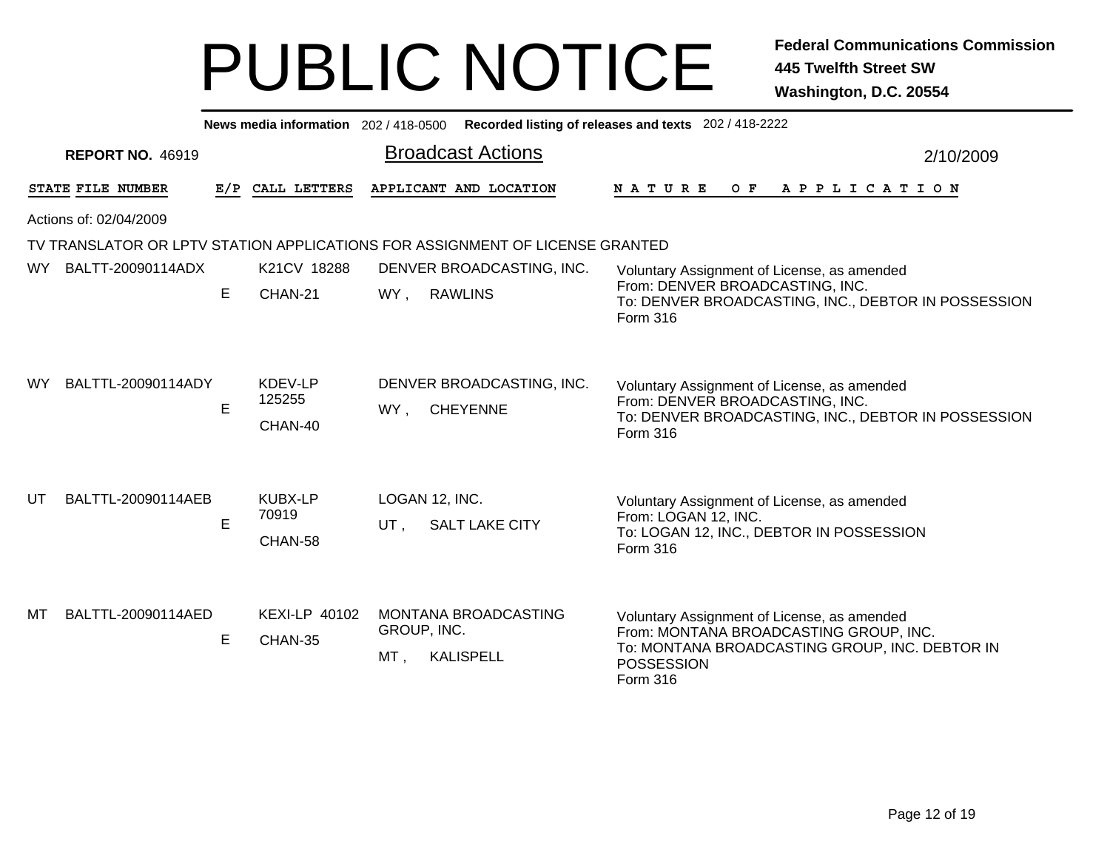|           | News media information 202 / 418-0500 Recorded listing of releases and texts 202 / 418-2222 |    |                                    |                       |                                              |                                                                                                                                                                                 |           |  |  |
|-----------|---------------------------------------------------------------------------------------------|----|------------------------------------|-----------------------|----------------------------------------------|---------------------------------------------------------------------------------------------------------------------------------------------------------------------------------|-----------|--|--|
|           | <b>REPORT NO. 46919</b>                                                                     |    |                                    |                       | <b>Broadcast Actions</b>                     |                                                                                                                                                                                 | 2/10/2009 |  |  |
|           | STATE FILE NUMBER                                                                           |    | E/P CALL LETTERS                   |                       | APPLICANT AND LOCATION                       | N A T U R E<br>OF APPLICATION                                                                                                                                                   |           |  |  |
|           | Actions of: 02/04/2009                                                                      |    |                                    |                       |                                              |                                                                                                                                                                                 |           |  |  |
|           | TV TRANSLATOR OR LPTV STATION APPLICATIONS FOR ASSIGNMENT OF LICENSE GRANTED                |    |                                    |                       |                                              |                                                                                                                                                                                 |           |  |  |
| WY.       | BALTT-20090114ADX                                                                           |    | K21CV 18288                        |                       | DENVER BROADCASTING, INC.                    | Voluntary Assignment of License, as amended                                                                                                                                     |           |  |  |
|           |                                                                                             | E. | CHAN-21                            | WY,                   | <b>RAWLINS</b>                               | From: DENVER BROADCASTING, INC.<br>To: DENVER BROADCASTING, INC., DEBTOR IN POSSESSION<br>Form 316                                                                              |           |  |  |
| <b>WY</b> | BALTTL-20090114ADY                                                                          | E. | KDEV-LP<br>125255<br>CHAN-40       | WY,                   | DENVER BROADCASTING, INC.<br><b>CHEYENNE</b> | Voluntary Assignment of License, as amended<br>From: DENVER BROADCASTING, INC.<br>To: DENVER BROADCASTING, INC., DEBTOR IN POSSESSION<br>Form 316                               |           |  |  |
| UT        | BALTTL-20090114AEB                                                                          | E  | <b>KUBX-LP</b><br>70919<br>CHAN-58 | UT,                   | LOGAN 12, INC.<br><b>SALT LAKE CITY</b>      | Voluntary Assignment of License, as amended<br>From: LOGAN 12, INC.<br>To: LOGAN 12, INC., DEBTOR IN POSSESSION<br>Form 316                                                     |           |  |  |
| МT        | BALTTL-20090114AED                                                                          | E  | <b>KEXI-LP 40102</b><br>CHAN-35    | GROUP, INC.<br>$MT$ , | MONTANA BROADCASTING<br><b>KALISPELL</b>     | Voluntary Assignment of License, as amended<br>From: MONTANA BROADCASTING GROUP, INC.<br>To: MONTANA BROADCASTING GROUP, INC. DEBTOR IN<br><b>POSSESSION</b><br><b>Form 316</b> |           |  |  |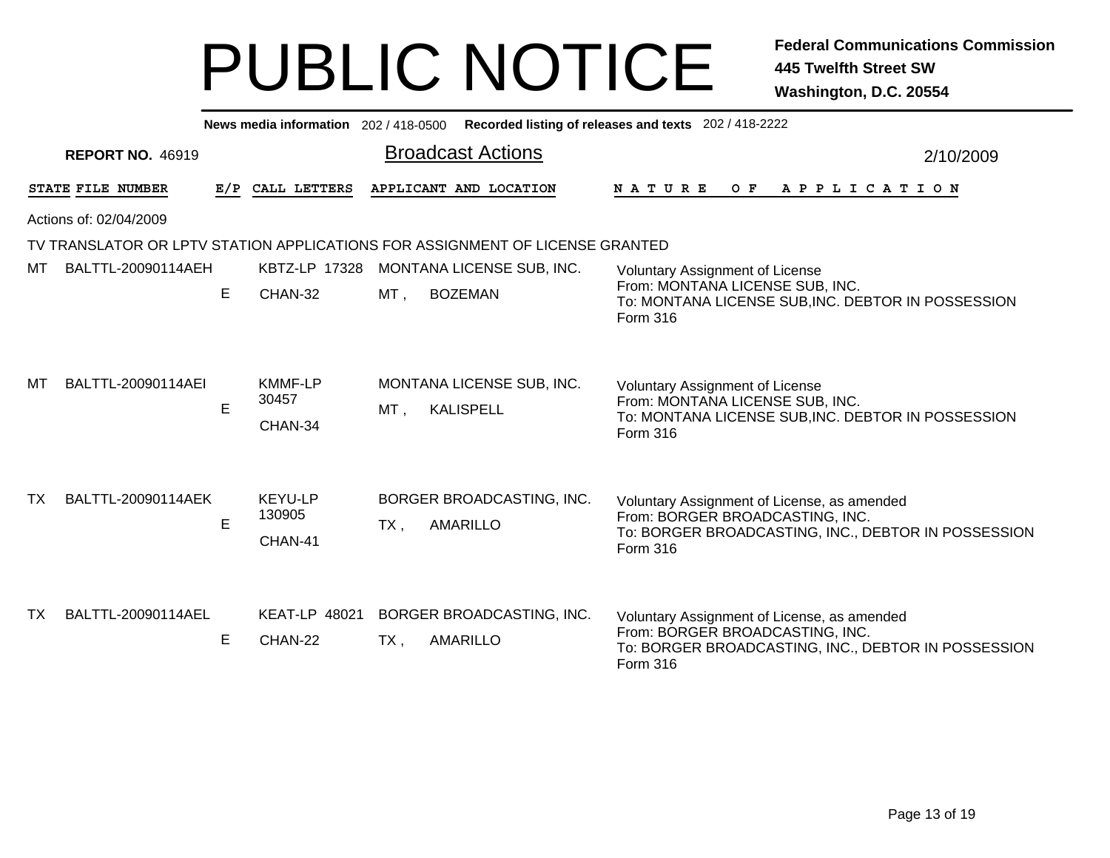|                                                                                                                     | Recorded listing of releases and texts 202 / 418-2222<br>News media information 202 / 418-0500 |    |                                    |                                                        |                                                                                                                                                   |  |  |  |  |
|---------------------------------------------------------------------------------------------------------------------|------------------------------------------------------------------------------------------------|----|------------------------------------|--------------------------------------------------------|---------------------------------------------------------------------------------------------------------------------------------------------------|--|--|--|--|
|                                                                                                                     | <b>Broadcast Actions</b><br><b>REPORT NO. 46919</b><br>2/10/2009                               |    |                                    |                                                        |                                                                                                                                                   |  |  |  |  |
| APPLICANT AND LOCATION<br>STATE FILE NUMBER<br>CALL LETTERS<br><b>NATURE</b><br>O F<br>A P P L I C A T I O N<br>E/P |                                                                                                |    |                                    |                                                        |                                                                                                                                                   |  |  |  |  |
| Actions of: 02/04/2009                                                                                              |                                                                                                |    |                                    |                                                        |                                                                                                                                                   |  |  |  |  |
| TV TRANSLATOR OR LPTV STATION APPLICATIONS FOR ASSIGNMENT OF LICENSE GRANTED                                        |                                                                                                |    |                                    |                                                        |                                                                                                                                                   |  |  |  |  |
| мт                                                                                                                  | BALTTL-20090114AEH                                                                             |    | <b>KBTZ-LP 17328</b>               | MONTANA LICENSE SUB, INC.                              | <b>Voluntary Assignment of License</b>                                                                                                            |  |  |  |  |
|                                                                                                                     |                                                                                                | E. | CHAN-32                            | $MT$ ,<br><b>BOZEMAN</b>                               | From: MONTANA LICENSE SUB, INC.<br>To: MONTANA LICENSE SUB, INC. DEBTOR IN POSSESSION<br><b>Form 316</b>                                          |  |  |  |  |
| MТ                                                                                                                  | BALTTL-20090114AEI                                                                             | E  | <b>KMMF-LP</b><br>30457<br>CHAN-34 | MONTANA LICENSE SUB, INC.<br><b>KALISPELL</b><br>MT,   | Voluntary Assignment of License<br>From: MONTANA LICENSE SUB, INC.<br>To: MONTANA LICENSE SUB, INC. DEBTOR IN POSSESSION<br>Form 316              |  |  |  |  |
| TX.                                                                                                                 | BALTTL-20090114AEK                                                                             | E  | KEYU-LP<br>130905<br>CHAN-41       | BORGER BROADCASTING, INC.<br><b>AMARILLO</b><br>$TX$ , | Voluntary Assignment of License, as amended<br>From: BORGER BROADCASTING, INC.<br>To: BORGER BROADCASTING, INC., DEBTOR IN POSSESSION<br>Form 316 |  |  |  |  |
| TX.                                                                                                                 | BALTTL-20090114AEL                                                                             | E. | <b>KEAT-LP 48021</b><br>CHAN-22    | BORGER BROADCASTING, INC.<br><b>AMARILLO</b><br>$TX$ , | Voluntary Assignment of License, as amended<br>From: BORGER BROADCASTING, INC.<br>To: BORGER BROADCASTING, INC., DEBTOR IN POSSESSION<br>Form 316 |  |  |  |  |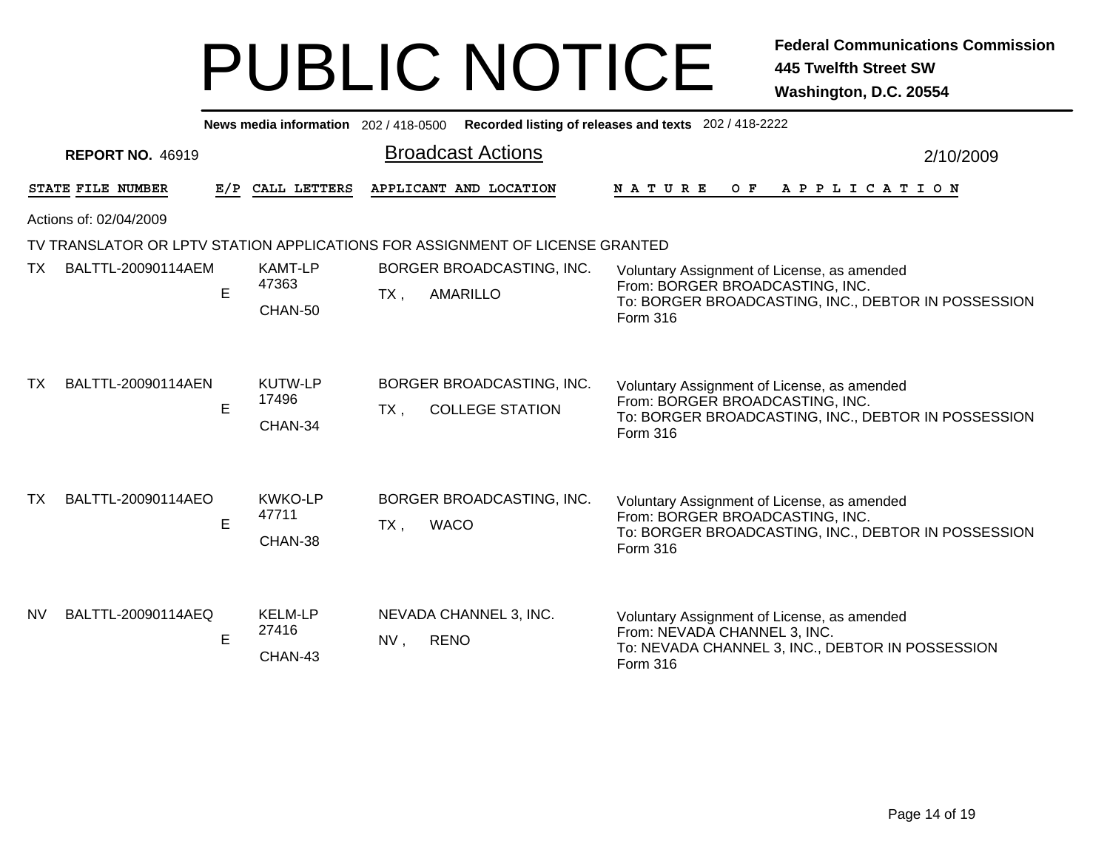| News media information 202/418-0500 |                         |     |                                    | Recorded listing of releases and texts 202 / 418-2222 |                                                                              |                                                                                                                                                          |           |  |
|-------------------------------------|-------------------------|-----|------------------------------------|-------------------------------------------------------|------------------------------------------------------------------------------|----------------------------------------------------------------------------------------------------------------------------------------------------------|-----------|--|
|                                     | <b>REPORT NO. 46919</b> |     |                                    |                                                       | <b>Broadcast Actions</b>                                                     |                                                                                                                                                          | 2/10/2009 |  |
|                                     | STATE FILE NUMBER       | E/P | CALL LETTERS                       |                                                       | APPLICANT AND LOCATION                                                       | <b>NATURE</b><br>OF APPLICATION                                                                                                                          |           |  |
| Actions of: 02/04/2009              |                         |     |                                    |                                                       |                                                                              |                                                                                                                                                          |           |  |
|                                     |                         |     |                                    |                                                       | TV TRANSLATOR OR LPTV STATION APPLICATIONS FOR ASSIGNMENT OF LICENSE GRANTED |                                                                                                                                                          |           |  |
| TX.                                 | BALTTL-20090114AEM      | E   | <b>KAMT-LP</b><br>47363<br>CHAN-50 | $TX$ ,                                                | BORGER BROADCASTING, INC.<br><b>AMARILLO</b>                                 | Voluntary Assignment of License, as amended<br>From: BORGER BROADCASTING, INC.<br>To: BORGER BROADCASTING, INC., DEBTOR IN POSSESSION<br><b>Form 316</b> |           |  |
| TX                                  | BALTTL-20090114AEN      | E   | KUTW-LP<br>17496<br>CHAN-34        | $TX$ .                                                | BORGER BROADCASTING, INC.<br><b>COLLEGE STATION</b>                          | Voluntary Assignment of License, as amended<br>From: BORGER BROADCASTING, INC.<br>To: BORGER BROADCASTING, INC., DEBTOR IN POSSESSION<br>Form 316        |           |  |
| TX.                                 | BALTTL-20090114AEO      | E   | <b>KWKO-LP</b><br>47711<br>CHAN-38 | $TX$ ,                                                | BORGER BROADCASTING, INC.<br><b>WACO</b>                                     | Voluntary Assignment of License, as amended<br>From: BORGER BROADCASTING, INC.<br>To: BORGER BROADCASTING, INC., DEBTOR IN POSSESSION<br>Form 316        |           |  |
| <b>NV</b>                           | BALTTL-20090114AEQ      | E   | <b>KELM-LP</b><br>27416<br>CHAN-43 | NV,                                                   | NEVADA CHANNEL 3, INC.<br><b>RENO</b>                                        | Voluntary Assignment of License, as amended<br>From: NEVADA CHANNEL 3, INC.<br>To: NEVADA CHANNEL 3, INC., DEBTOR IN POSSESSION<br>Form 316              |           |  |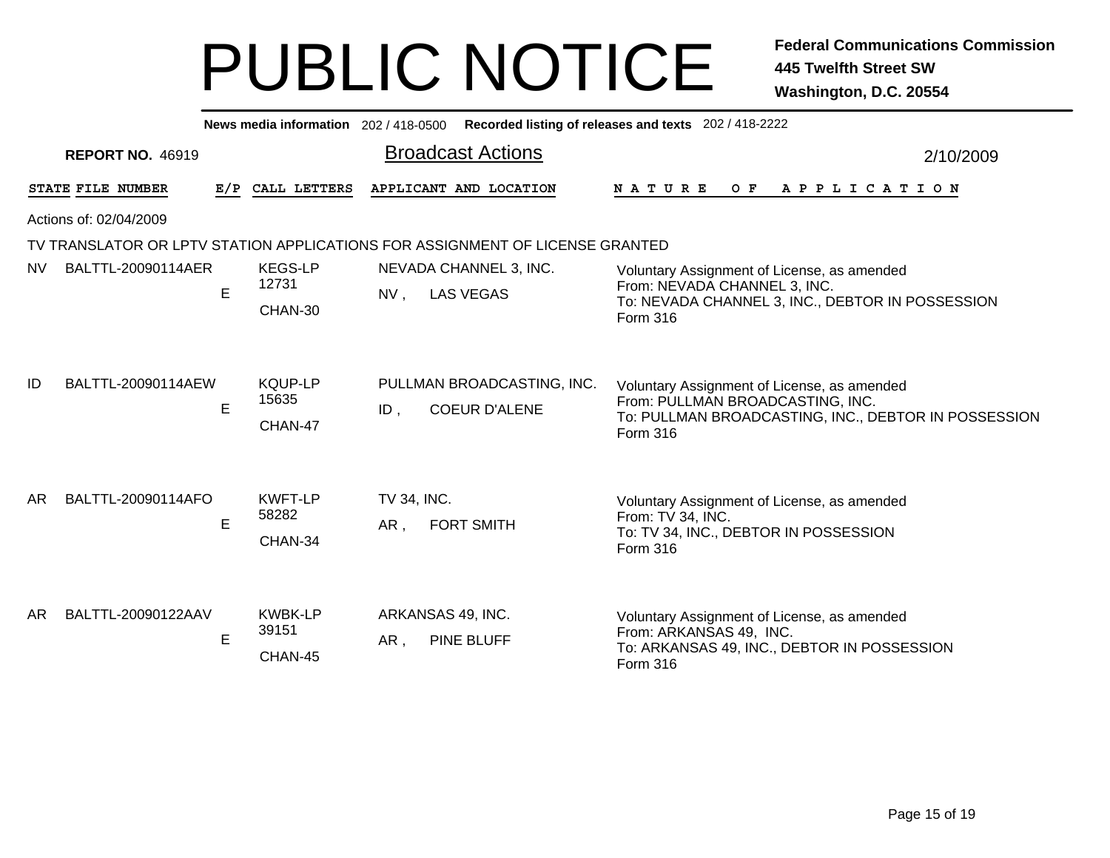|     |                         |     | News media information 202 / 418-0500 |                    |                                                                              | Recorded listing of releases and texts 202 / 418-2222                                                                                               |           |  |  |
|-----|-------------------------|-----|---------------------------------------|--------------------|------------------------------------------------------------------------------|-----------------------------------------------------------------------------------------------------------------------------------------------------|-----------|--|--|
|     | <b>REPORT NO. 46919</b> |     |                                       |                    | <b>Broadcast Actions</b>                                                     |                                                                                                                                                     | 2/10/2009 |  |  |
|     | STATE FILE NUMBER       | E/P | CALL LETTERS                          |                    | APPLICANT AND LOCATION                                                       | OF APPLICATION<br>N A T U R E                                                                                                                       |           |  |  |
|     | Actions of: 02/04/2009  |     |                                       |                    |                                                                              |                                                                                                                                                     |           |  |  |
|     |                         |     |                                       |                    | TV TRANSLATOR OR LPTV STATION APPLICATIONS FOR ASSIGNMENT OF LICENSE GRANTED |                                                                                                                                                     |           |  |  |
| NV. | BALTTL-20090114AER      | E   | <b>KEGS-LP</b><br>12731<br>CHAN-30    | $NV$ ,             | NEVADA CHANNEL 3, INC.<br><b>LAS VEGAS</b>                                   | Voluntary Assignment of License, as amended<br>From: NEVADA CHANNEL 3, INC.<br>To: NEVADA CHANNEL 3, INC., DEBTOR IN POSSESSION<br>Form 316         |           |  |  |
| ID  | BALTTL-20090114AEW      | E   | <b>KQUP-LP</b><br>15635<br>CHAN-47    | $ID$ ,             | PULLMAN BROADCASTING, INC.<br><b>COEUR D'ALENE</b>                           | Voluntary Assignment of License, as amended<br>From: PULLMAN BROADCASTING, INC.<br>To: PULLMAN BROADCASTING, INC., DEBTOR IN POSSESSION<br>Form 316 |           |  |  |
| AR. | BALTTL-20090114AFO      | E   | <b>KWFT-LP</b><br>58282<br>CHAN-34    | TV 34, INC.<br>AR, | <b>FORT SMITH</b>                                                            | Voluntary Assignment of License, as amended<br>From: TV 34, INC.<br>To: TV 34, INC., DEBTOR IN POSSESSION<br>Form 316                               |           |  |  |
| AR. | BALTTL-20090122AAV      | E   | <b>KWBK-LP</b><br>39151<br>CHAN-45    | AR,                | ARKANSAS 49, INC.<br><b>PINE BLUFF</b>                                       | Voluntary Assignment of License, as amended<br>From: ARKANSAS 49, INC.<br>To: ARKANSAS 49, INC., DEBTOR IN POSSESSION<br>Form 316                   |           |  |  |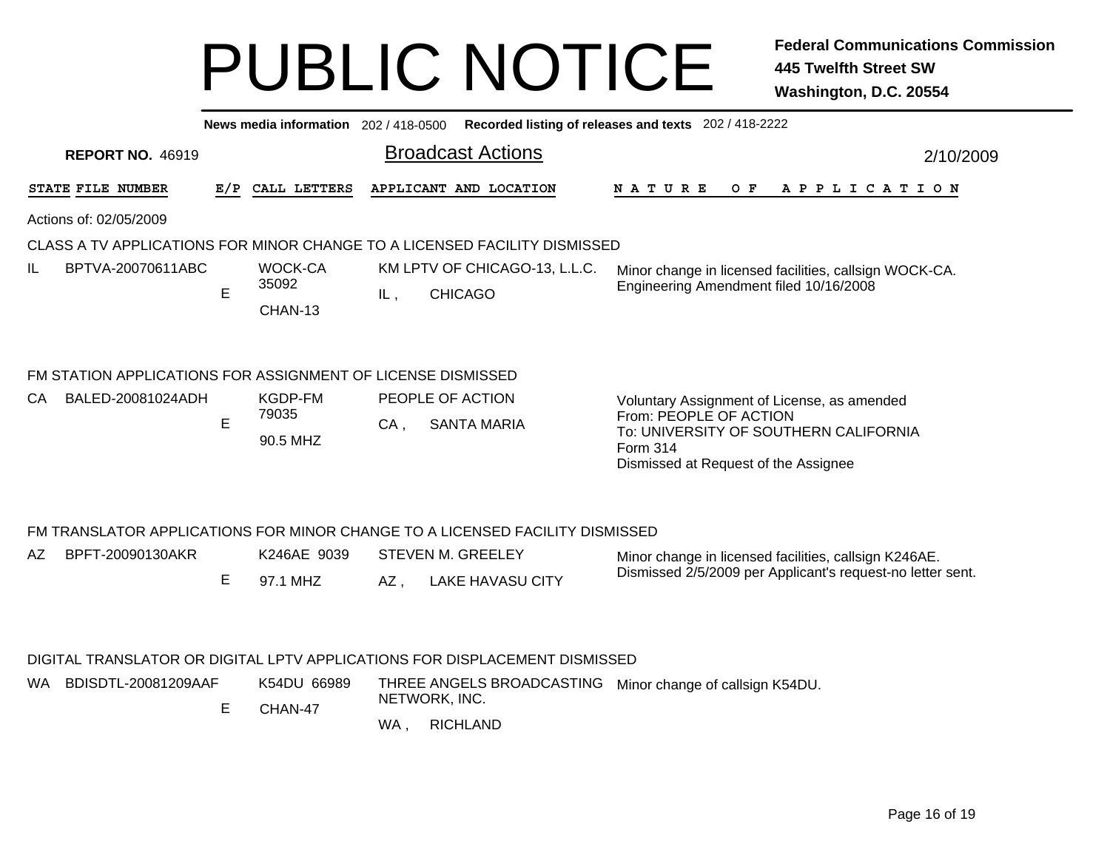| Recorded listing of releases and texts 202 / 418-2222<br>News media information 202 / 418-0500<br><b>Broadcast Actions</b><br><b>REPORT NO. 46919</b><br>2/10/2009                                                                   |
|--------------------------------------------------------------------------------------------------------------------------------------------------------------------------------------------------------------------------------------|
|                                                                                                                                                                                                                                      |
|                                                                                                                                                                                                                                      |
| <b>STATE FILE NUMBER</b><br>APPLICANT AND LOCATION<br>CALL LETTERS<br>N A T U R E<br>O F<br>A P P L I C A T I O N<br>E/P                                                                                                             |
| Actions of: 02/05/2009                                                                                                                                                                                                               |
| CLASS A TV APPLICATIONS FOR MINOR CHANGE TO A LICENSED FACILITY DISMISSED                                                                                                                                                            |
| IL<br>BPTVA-20070611ABC<br>WOCK-CA<br>KM LPTV OF CHICAGO-13, L.L.C.<br>Minor change in licensed facilities, callsign WOCK-CA.<br>35092<br>Engineering Amendment filed 10/16/2008<br>E<br><b>CHICAGO</b><br>IL,<br>CHAN-13            |
| FM STATION APPLICATIONS FOR ASSIGNMENT OF LICENSE DISMISSED<br>BALED-20081024ADH<br>KGDP-FM<br>PEOPLE OF ACTION<br>CA<br>Voluntary Assignment of License, as amended                                                                 |
| 79035<br>From: PEOPLE OF ACTION<br>E<br><b>SANTA MARIA</b><br>CA.<br>To: UNIVERSITY OF SOUTHERN CALIFORNIA<br>90.5 MHZ<br>Form 314<br>Dismissed at Request of the Assignee                                                           |
| FM TRANSLATOR APPLICATIONS FOR MINOR CHANGE TO A LICENSED FACILITY DISMISSED                                                                                                                                                         |
| BPFT-20090130AKR<br>K246AE 9039<br>AZ<br>STEVEN M. GREELEY<br>Minor change in licensed facilities, callsign K246AE.<br>Dismissed 2/5/2009 per Applicant's request-no letter sent.<br>Е<br>97.1 MHZ<br>AZ,<br><b>LAKE HAVASU CITY</b> |

#### DIGITAL TRANSLATOR OR DIGITAL LPTV APPLICATIONS FOR DISPLACEMENT DISMISSED

E CHAN-47THREE ANGELS BROADCASTING Minor change of callsign K54DU. NETWORK, INC. WA BDISDTL-20081209AAF K54DU 66989

, RICHLAND WA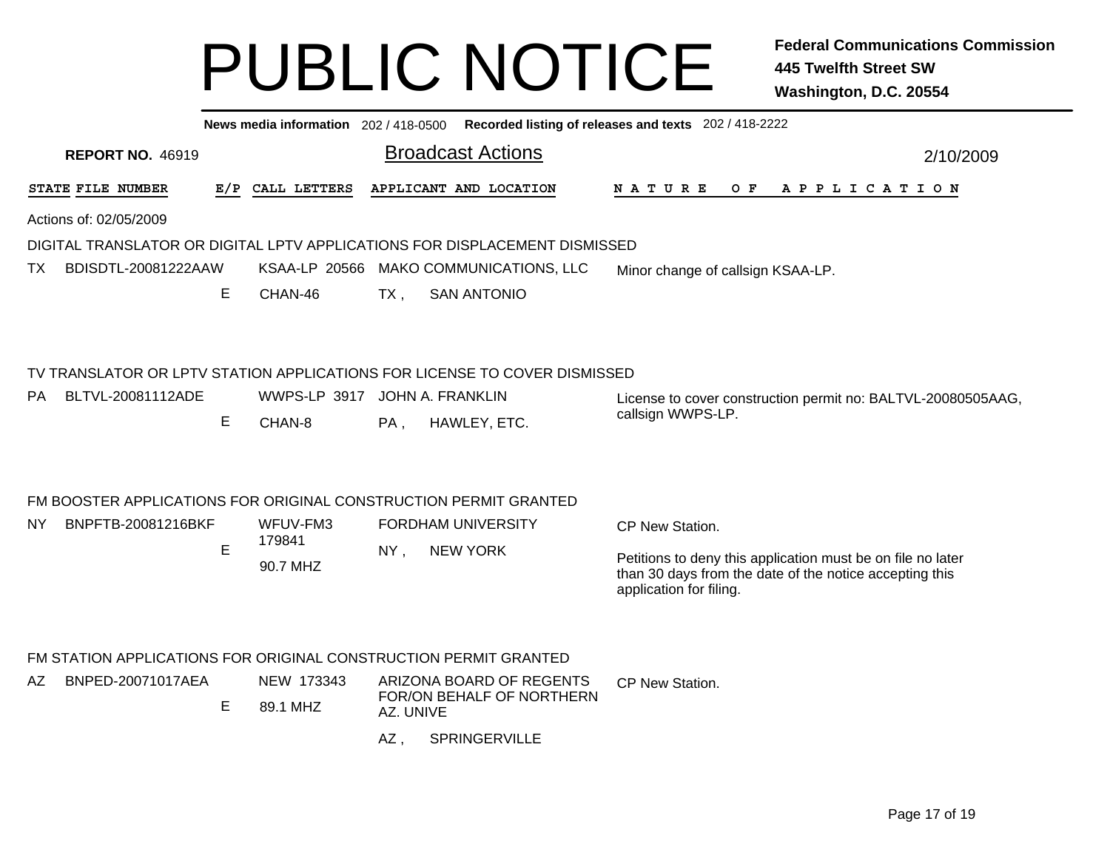|                                                                            |     | News media information 202 / 418-0500 |           |                                                                                                               | Recorded listing of releases and texts 202 / 418-2222                                                                                             |           |  |  |  |
|----------------------------------------------------------------------------|-----|---------------------------------------|-----------|---------------------------------------------------------------------------------------------------------------|---------------------------------------------------------------------------------------------------------------------------------------------------|-----------|--|--|--|
| <b>REPORT NO. 46919</b>                                                    |     |                                       |           | <b>Broadcast Actions</b>                                                                                      |                                                                                                                                                   | 2/10/2009 |  |  |  |
| STATE FILE NUMBER                                                          | E/P | CALL LETTERS                          |           | APPLICANT AND LOCATION                                                                                        | OF APPLICATION<br><b>NATURE</b>                                                                                                                   |           |  |  |  |
| Actions of: 02/05/2009                                                     |     |                                       |           |                                                                                                               |                                                                                                                                                   |           |  |  |  |
| DIGITAL TRANSLATOR OR DIGITAL LPTV APPLICATIONS FOR DISPLACEMENT DISMISSED |     |                                       |           |                                                                                                               |                                                                                                                                                   |           |  |  |  |
| BDISDTL-20081222AAW<br>TX                                                  |     | <b>KSAA-LP 20566</b>                  |           | MAKO COMMUNICATIONS, LLC                                                                                      | Minor change of callsign KSAA-LP.                                                                                                                 |           |  |  |  |
|                                                                            | Е   | CHAN-46                               | $TX$ ,    | <b>SAN ANTONIO</b>                                                                                            |                                                                                                                                                   |           |  |  |  |
| <b>PA</b><br>BLTVL-20081112ADE                                             | Е   | WWPS-LP 3917<br>CHAN-8                | PA,       | TV TRANSLATOR OR LPTV STATION APPLICATIONS FOR LICENSE TO COVER DISMISSED<br>JOHN A. FRANKLIN<br>HAWLEY, ETC. | License to cover construction permit no: BALTVL-20080505AAG,<br>callsign WWPS-LP.                                                                 |           |  |  |  |
| FM BOOSTER APPLICATIONS FOR ORIGINAL CONSTRUCTION PERMIT GRANTED           |     |                                       |           |                                                                                                               |                                                                                                                                                   |           |  |  |  |
| BNPFTB-20081216BKF<br><b>NY</b>                                            | E   | WFUV-FM3<br>179841                    | $NY$ ,    | <b>FORDHAM UNIVERSITY</b>                                                                                     | CP New Station.                                                                                                                                   |           |  |  |  |
|                                                                            |     |                                       |           | <b>NEW YORK</b>                                                                                               |                                                                                                                                                   |           |  |  |  |
|                                                                            |     | 90.7 MHZ                              |           |                                                                                                               | Petitions to deny this application must be on file no later<br>than 30 days from the date of the notice accepting this<br>application for filing. |           |  |  |  |
| FM STATION APPLICATIONS FOR ORIGINAL CONSTRUCTION PERMIT GRANTED           |     |                                       |           |                                                                                                               |                                                                                                                                                   |           |  |  |  |
| BNPED-20071017AEA<br>AZ                                                    |     | NEW 173343                            |           | ARIZONA BOARD OF REGENTS                                                                                      | CP New Station.                                                                                                                                   |           |  |  |  |
|                                                                            | E   | 89.1 MHZ                              | AZ. UNIVE | FOR/ON BEHALF OF NORTHERN                                                                                     |                                                                                                                                                   |           |  |  |  |

**SPRINGERVILLE** AZ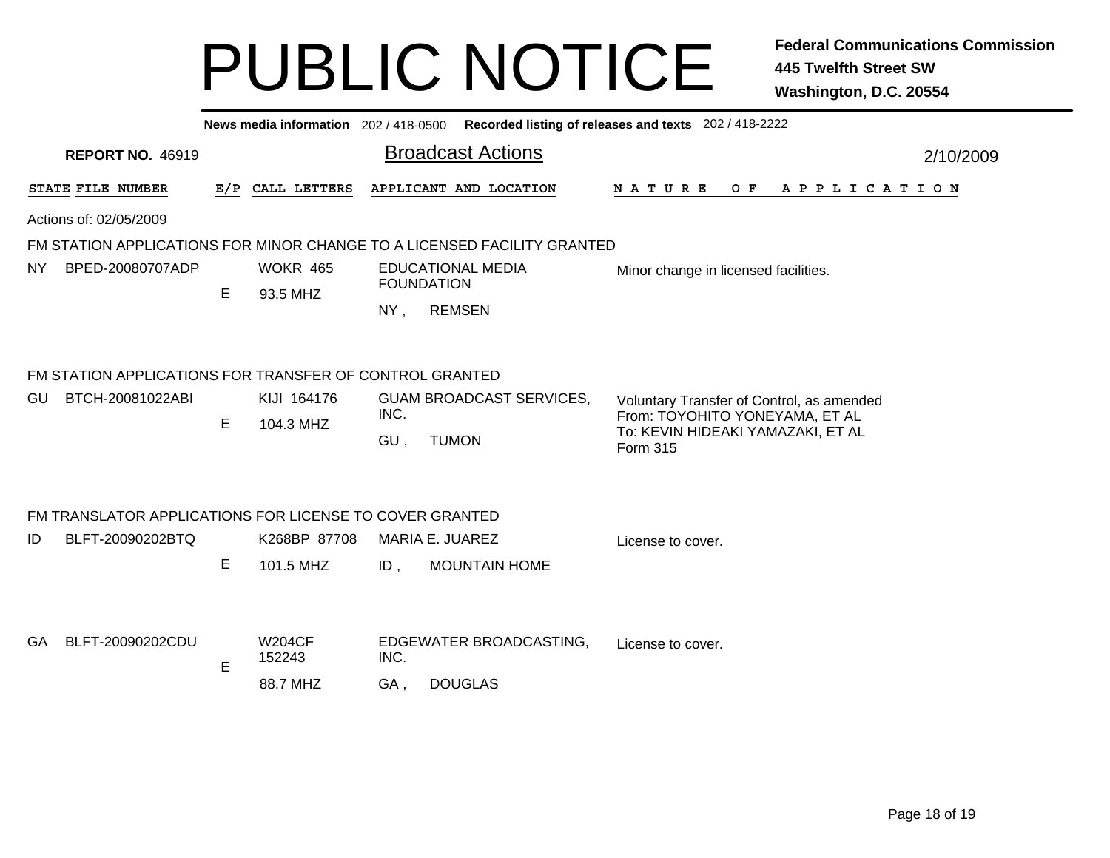|     | News media information 202 / 418-0500 Recorded listing of releases and texts 202 / 418-2222 |   |                             |                                               |                                                                         |                                                                                 |           |  |  |  |
|-----|---------------------------------------------------------------------------------------------|---|-----------------------------|-----------------------------------------------|-------------------------------------------------------------------------|---------------------------------------------------------------------------------|-----------|--|--|--|
|     | <b>REPORT NO. 46919</b>                                                                     |   |                             |                                               | <b>Broadcast Actions</b>                                                |                                                                                 | 2/10/2009 |  |  |  |
|     | STATE FILE NUMBER                                                                           |   | E/P CALL LETTERS            |                                               | APPLICANT AND LOCATION                                                  | N A T U R E<br>OF APPLICATION                                                   |           |  |  |  |
|     | Actions of: 02/05/2009                                                                      |   |                             |                                               |                                                                         |                                                                                 |           |  |  |  |
|     |                                                                                             |   |                             |                                               | FM STATION APPLICATIONS FOR MINOR CHANGE TO A LICENSED FACILITY GRANTED |                                                                                 |           |  |  |  |
| NY. | BPED-20080707ADP                                                                            | E | <b>WOKR 465</b><br>93.5 MHZ | <b>EDUCATIONAL MEDIA</b><br><b>FOUNDATION</b> |                                                                         | Minor change in licensed facilities.                                            |           |  |  |  |
|     |                                                                                             |   |                             | $NY$ ,                                        | <b>REMSEN</b>                                                           |                                                                                 |           |  |  |  |
|     | FM STATION APPLICATIONS FOR TRANSFER OF CONTROL GRANTED                                     |   |                             |                                               |                                                                         |                                                                                 |           |  |  |  |
| GU  | BTCH-20081022ABI                                                                            |   | KIJI 164176                 | <b>GUAM BROADCAST SERVICES,</b>               |                                                                         | Voluntary Transfer of Control, as amended                                       |           |  |  |  |
|     |                                                                                             | Е | 104.3 MHZ                   | INC.<br>GU,                                   | <b>TUMON</b>                                                            | From: TOYOHITO YONEYAMA, ET AL<br>To: KEVIN HIDEAKI YAMAZAKI, ET AL<br>Form 315 |           |  |  |  |
|     | FM TRANSLATOR APPLICATIONS FOR LICENSE TO COVER GRANTED                                     |   |                             |                                               |                                                                         |                                                                                 |           |  |  |  |
| ID  | BLFT-20090202BTQ                                                                            |   | K268BP 87708                |                                               | MARIA E. JUAREZ                                                         | License to cover.                                                               |           |  |  |  |
|     |                                                                                             | Е | 101.5 MHZ                   | $ID$ ,                                        | <b>MOUNTAIN HOME</b>                                                    |                                                                                 |           |  |  |  |
|     |                                                                                             |   |                             |                                               |                                                                         |                                                                                 |           |  |  |  |
| GA. | BLFT-20090202CDU                                                                            | E | <b>W204CF</b><br>152243     | INC.                                          | EDGEWATER BROADCASTING,                                                 | License to cover.                                                               |           |  |  |  |
|     |                                                                                             |   | 88.7 MHZ                    | GA,                                           | <b>DOUGLAS</b>                                                          |                                                                                 |           |  |  |  |